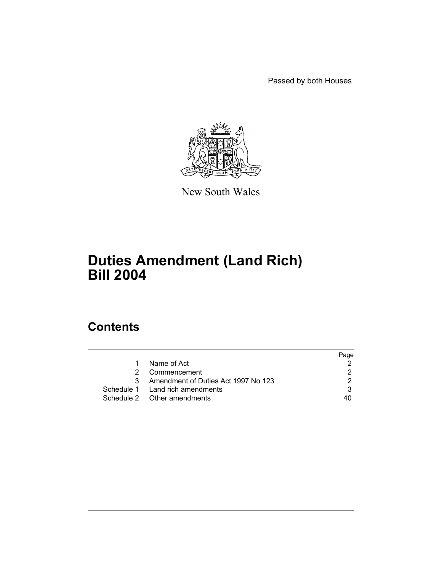Passed by both Houses



New South Wales

# **Duties Amendment (Land Rich) Bill 2004**

# **Contents**

|               |                                       | Page |
|---------------|---------------------------------------|------|
| $\mathbf{1}$  | Name of Act                           |      |
| $\mathcal{P}$ | Commencement                          |      |
|               | 3 Amendment of Duties Act 1997 No 123 |      |
|               | Schedule 1 Land rich amendments       |      |
|               | Schedule 2 Other amendments           | 40   |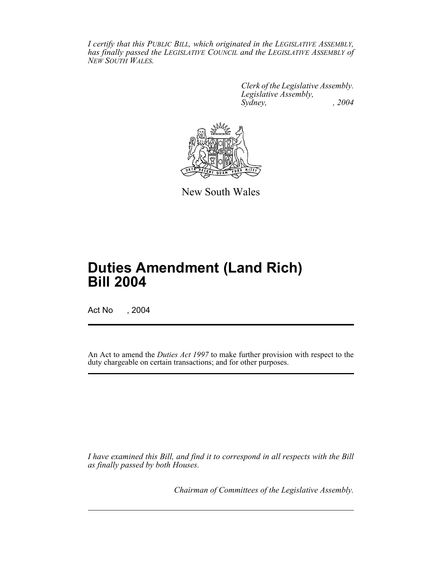*I certify that this PUBLIC BILL, which originated in the LEGISLATIVE ASSEMBLY, has finally passed the LEGISLATIVE COUNCIL and the LEGISLATIVE ASSEMBLY of NEW SOUTH WALES.*

> *Clerk of the Legislative Assembly. Legislative Assembly, Sydney, , 2004*



New South Wales

# **Duties Amendment (Land Rich) Bill 2004**

Act No , 2004

An Act to amend the *Duties Act 1997* to make further provision with respect to the duty chargeable on certain transactions; and for other purposes.

*I have examined this Bill, and find it to correspond in all respects with the Bill as finally passed by both Houses.*

*Chairman of Committees of the Legislative Assembly.*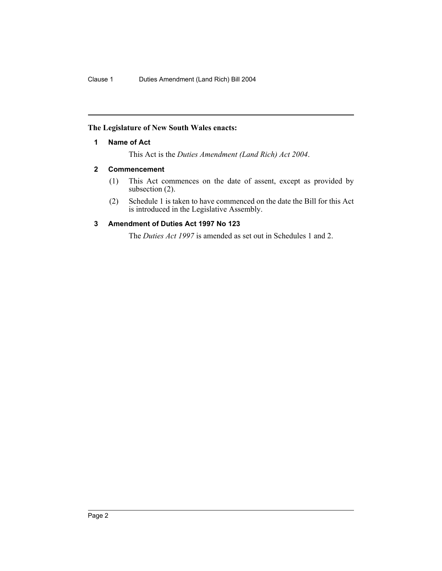## **The Legislature of New South Wales enacts:**

## **1 Name of Act**

This Act is the *Duties Amendment (Land Rich) Act 2004*.

## **2 Commencement**

- (1) This Act commences on the date of assent, except as provided by subsection (2).
- (2) Schedule 1 is taken to have commenced on the date the Bill for this Act is introduced in the Legislative Assembly.

## **3 Amendment of Duties Act 1997 No 123**

The *Duties Act 1997* is amended as set out in Schedules 1 and 2.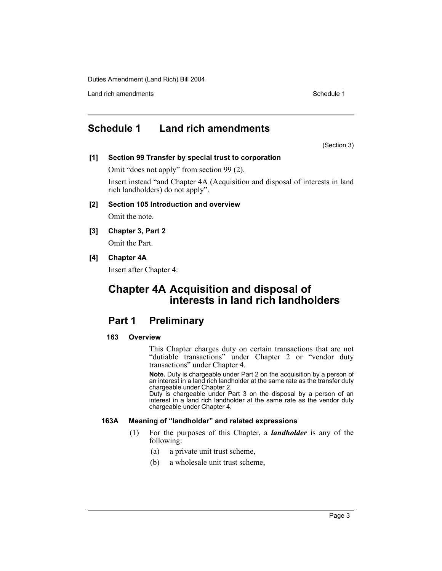Land rich amendments **Schedule 1** and the set of the set of the set of the set of the set of the set of the set of the set of the set of the set of the set of the set of the set of the set of the set of the set of the set

## **Schedule 1 Land rich amendments**

(Section 3)

## **[1] Section 99 Transfer by special trust to corporation**

Omit "does not apply" from section 99 (2).

Insert instead "and Chapter 4A (Acquisition and disposal of interests in land rich landholders) do not apply".

## **[2] Section 105 Introduction and overview**

Omit the note.

**[3] Chapter 3, Part 2** Omit the Part.

## **[4] Chapter 4A**

Insert after Chapter 4:

## **Chapter 4A Acquisition and disposal of interests in land rich landholders**

## **Part 1 Preliminary**

## **163 Overview**

This Chapter charges duty on certain transactions that are not "dutiable transactions" under Chapter 2 or "vendor duty transactions" under Chapter 4.

**Note.** Duty is chargeable under Part 2 on the acquisition by a person of an interest in a land rich landholder at the same rate as the transfer duty chargeable under Chapter 2.

Duty is chargeable under Part 3 on the disposal by a person of an interest in a land rich landholder at the same rate as the vendor duty chargeable under Chapter 4.

## **163A Meaning of "landholder" and related expressions**

- (1) For the purposes of this Chapter, a *landholder* is any of the following:
	- (a) a private unit trust scheme,
	- (b) a wholesale unit trust scheme,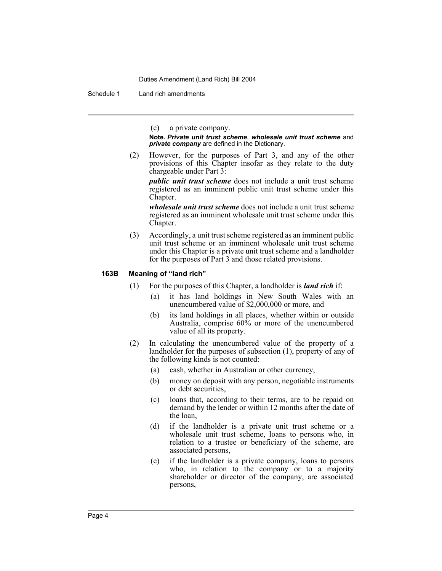Schedule 1 Land rich amendments

(c) a private company.

**Note.** *Private unit trust scheme*, *wholesale unit trust scheme* and *private company* are defined in the Dictionary.

(2) However, for the purposes of Part 3, and any of the other provisions of this Chapter insofar as they relate to the duty chargeable under Part 3:

*public unit trust scheme* does not include a unit trust scheme registered as an imminent public unit trust scheme under this Chapter.

*wholesale unit trust scheme* does not include a unit trust scheme registered as an imminent wholesale unit trust scheme under this Chapter.

(3) Accordingly, a unit trust scheme registered as an imminent public unit trust scheme or an imminent wholesale unit trust scheme under this Chapter is a private unit trust scheme and a landholder for the purposes of Part 3 and those related provisions.

#### **163B Meaning of "land rich"**

- (1) For the purposes of this Chapter, a landholder is *land rich* if:
	- (a) it has land holdings in New South Wales with an unencumbered value of \$2,000,000 or more, and
	- (b) its land holdings in all places, whether within or outside Australia, comprise 60% or more of the unencumbered value of all its property.
- (2) In calculating the unencumbered value of the property of a landholder for the purposes of subsection (1), property of any of the following kinds is not counted:
	- (a) cash, whether in Australian or other currency,
	- (b) money on deposit with any person, negotiable instruments or debt securities,
	- (c) loans that, according to their terms, are to be repaid on demand by the lender or within 12 months after the date of the loan,
	- (d) if the landholder is a private unit trust scheme or a wholesale unit trust scheme, loans to persons who, in relation to a trustee or beneficiary of the scheme, are associated persons,
	- (e) if the landholder is a private company, loans to persons who, in relation to the company or to a majority shareholder or director of the company, are associated persons,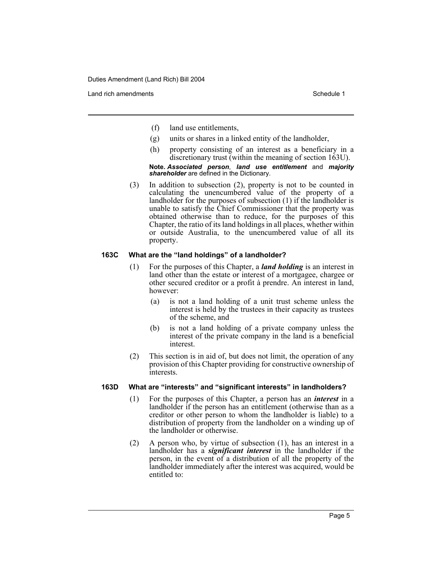Land rich amendments **Schedule 1** and the set of the set of the set of the set of the set of the set of the set of the set of the set of the set of the set of the set of the set of the set of the set of the set of the set

- (f) land use entitlements,
- (g) units or shares in a linked entity of the landholder,
- (h) property consisting of an interest as a beneficiary in a discretionary trust (within the meaning of section 163U).

#### **Note.** *Associated person*, *land use entitlement* and *majority shareholder* are defined in the Dictionary.

(3) In addition to subsection (2), property is not to be counted in calculating the unencumbered value of the property of a landholder for the purposes of subsection (1) if the landholder is unable to satisfy the Chief Commissioner that the property was obtained otherwise than to reduce, for the purposes of this Chapter, the ratio of its land holdings in all places, whether within or outside Australia, to the unencumbered value of all its property.

## **163C What are the "land holdings" of a landholder?**

- (1) For the purposes of this Chapter, a *land holding* is an interest in land other than the estate or interest of a mortgagee, chargee or other secured creditor or a profit à prendre. An interest in land, however:
	- (a) is not a land holding of a unit trust scheme unless the interest is held by the trustees in their capacity as trustees of the scheme, and
	- (b) is not a land holding of a private company unless the interest of the private company in the land is a beneficial interest.
- (2) This section is in aid of, but does not limit, the operation of any provision of this Chapter providing for constructive ownership of interests.

## **163D What are "interests" and "significant interests" in landholders?**

- (1) For the purposes of this Chapter, a person has an *interest* in a landholder if the person has an entitlement (otherwise than as a creditor or other person to whom the landholder is liable) to a distribution of property from the landholder on a winding up of the landholder or otherwise.
- (2) A person who, by virtue of subsection (1), has an interest in a landholder has a *significant interest* in the landholder if the person, in the event of a distribution of all the property of the landholder immediately after the interest was acquired, would be entitled to: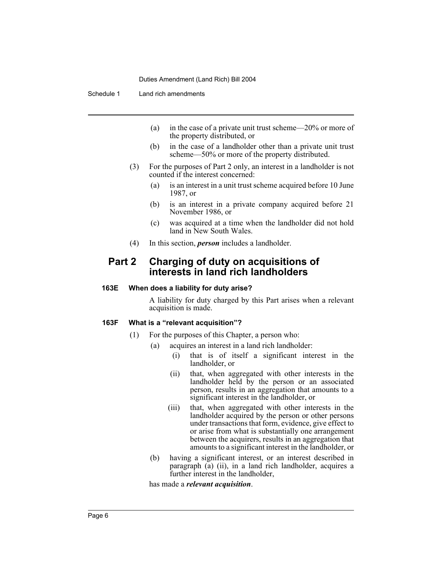Schedule 1 Land rich amendments

- (a) in the case of a private unit trust scheme—20% or more of the property distributed, or
- (b) in the case of a landholder other than a private unit trust scheme—50% or more of the property distributed.
- (3) For the purposes of Part 2 only, an interest in a landholder is not counted if the interest concerned:
	- (a) is an interest in a unit trust scheme acquired before 10 June 1987, or
	- (b) is an interest in a private company acquired before 21 November 1986, or
	- (c) was acquired at a time when the landholder did not hold land in New South Wales.
- (4) In this section, *person* includes a landholder.

## **Part 2 Charging of duty on acquisitions of interests in land rich landholders**

#### **163E When does a liability for duty arise?**

A liability for duty charged by this Part arises when a relevant acquisition is made.

#### **163F What is a "relevant acquisition"?**

- (1) For the purposes of this Chapter, a person who:
	- (a) acquires an interest in a land rich landholder:
		- (i) that is of itself a significant interest in the landholder, or
		- (ii) that, when aggregated with other interests in the landholder held by the person or an associated person, results in an aggregation that amounts to a significant interest in the landholder, or
		- (iii) that, when aggregated with other interests in the landholder acquired by the person or other persons under transactions that form, evidence, give effect to or arise from what is substantially one arrangement between the acquirers, results in an aggregation that amounts to a significant interest in the landholder, or
		- (b) having a significant interest, or an interest described in paragraph (a) (ii), in a land rich landholder, acquires a further interest in the landholder,

has made a *relevant acquisition*.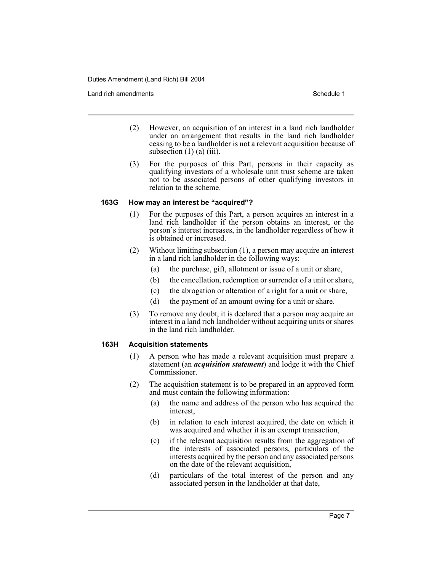Land rich amendments **Schedule 1** and the set of the set of the set of the set of the set of the set of the set of the set of the set of the set of the set of the set of the set of the set of the set of the set of the set

- (2) However, an acquisition of an interest in a land rich landholder under an arrangement that results in the land rich landholder ceasing to be a landholder is not a relevant acquisition because of subsection  $(1)$   $(a)$   $(iii)$ .
- (3) For the purposes of this Part, persons in their capacity as qualifying investors of a wholesale unit trust scheme are taken not to be associated persons of other qualifying investors in relation to the scheme.

## **163G How may an interest be "acquired"?**

- (1) For the purposes of this Part, a person acquires an interest in a land rich landholder if the person obtains an interest, or the person's interest increases, in the landholder regardless of how it is obtained or increased.
- (2) Without limiting subsection (1), a person may acquire an interest in a land rich landholder in the following ways:
	- (a) the purchase, gift, allotment or issue of a unit or share,
	- (b) the cancellation, redemption or surrender of a unit or share,
	- (c) the abrogation or alteration of a right for a unit or share,
	- (d) the payment of an amount owing for a unit or share.
- (3) To remove any doubt, it is declared that a person may acquire an interest in a land rich landholder without acquiring units or shares in the land rich landholder.

## **163H Acquisition statements**

- (1) A person who has made a relevant acquisition must prepare a statement (an *acquisition statement*) and lodge it with the Chief Commissioner.
- (2) The acquisition statement is to be prepared in an approved form and must contain the following information:
	- (a) the name and address of the person who has acquired the interest,
	- (b) in relation to each interest acquired, the date on which it was acquired and whether it is an exempt transaction,
	- (c) if the relevant acquisition results from the aggregation of the interests of associated persons, particulars of the interests acquired by the person and any associated persons on the date of the relevant acquisition,
	- (d) particulars of the total interest of the person and any associated person in the landholder at that date,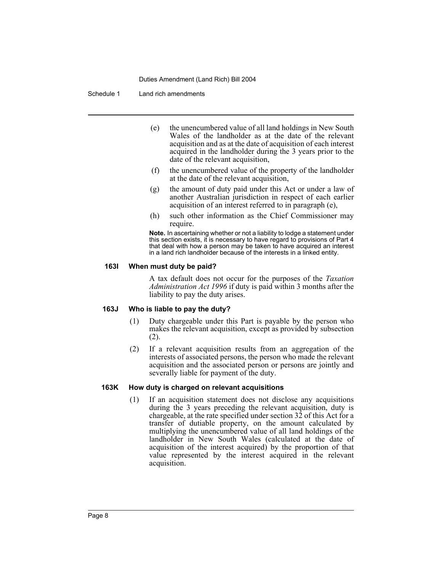Schedule 1 Land rich amendments

- (e) the unencumbered value of all land holdings in New South Wales of the landholder as at the date of the relevant acquisition and as at the date of acquisition of each interest acquired in the landholder during the 3 years prior to the date of the relevant acquisition,
- (f) the unencumbered value of the property of the landholder at the date of the relevant acquisition,
- (g) the amount of duty paid under this Act or under a law of another Australian jurisdiction in respect of each earlier acquisition of an interest referred to in paragraph (e),
- (h) such other information as the Chief Commissioner may require.

**Note.** In ascertaining whether or not a liability to lodge a statement under this section exists, it is necessary to have regard to provisions of Part 4 that deal with how a person may be taken to have acquired an interest in a land rich landholder because of the interests in a linked entity.

#### **163I When must duty be paid?**

A tax default does not occur for the purposes of the *Taxation Administration Act 1996* if duty is paid within 3 months after the liability to pay the duty arises.

## **163J Who is liable to pay the duty?**

- (1) Duty chargeable under this Part is payable by the person who makes the relevant acquisition, except as provided by subsection (2).
- (2) If a relevant acquisition results from an aggregation of the interests of associated persons, the person who made the relevant acquisition and the associated person or persons are jointly and severally liable for payment of the duty.

#### **163K How duty is charged on relevant acquisitions**

(1) If an acquisition statement does not disclose any acquisitions during the 3 years preceding the relevant acquisition, duty is chargeable, at the rate specified under section 32 of this Act for a transfer of dutiable property, on the amount calculated by multiplying the unencumbered value of all land holdings of the landholder in New South Wales (calculated at the date of acquisition of the interest acquired) by the proportion of that value represented by the interest acquired in the relevant acquisition.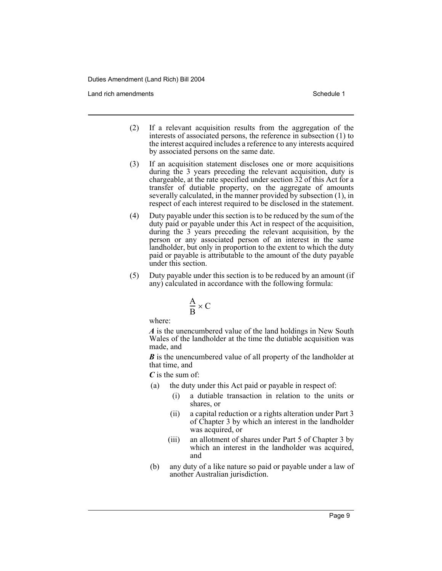Land rich amendments **Schedule 1** and the set of the set of the set of the set of the set of the set of the set of the set of the set of the set of the set of the set of the set of the set of the set of the set of the set

- (2) If a relevant acquisition results from the aggregation of the interests of associated persons, the reference in subsection (1) to the interest acquired includes a reference to any interests acquired by associated persons on the same date.
- (3) If an acquisition statement discloses one or more acquisitions during the 3 years preceding the relevant acquisition, duty is chargeable, at the rate specified under section  $32$  of this Act for a transfer of dutiable property, on the aggregate of amounts severally calculated, in the manner provided by subsection (1), in respect of each interest required to be disclosed in the statement.
- (4) Duty payable under this section is to be reduced by the sum of the duty paid or payable under this Act in respect of the acquisition, during the 3 years preceding the relevant acquisition, by the person or any associated person of an interest in the same landholder, but only in proportion to the extent to which the duty paid or payable is attributable to the amount of the duty payable under this section.
- (5) Duty payable under this section is to be reduced by an amount (if any) calculated in accordance with the following formula:

$$
\frac{A}{B} \times C
$$

where:

*A* is the unencumbered value of the land holdings in New South Wales of the landholder at the time the dutiable acquisition was made, and

*B* is the unencumbered value of all property of the landholder at that time, and

*C* is the sum of:

- (a) the duty under this Act paid or payable in respect of:
	- (i) a dutiable transaction in relation to the units or shares, or
	- (ii) a capital reduction or a rights alteration under Part 3 of Chapter 3 by which an interest in the landholder was acquired, or
	- (iii) an allotment of shares under Part 5 of Chapter 3 by which an interest in the landholder was acquired, and
- (b) any duty of a like nature so paid or payable under a law of another Australian jurisdiction.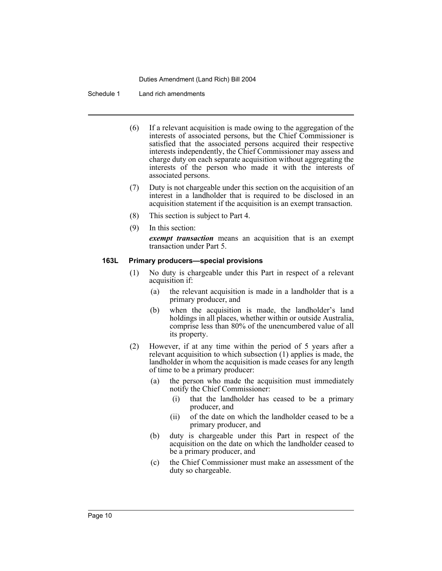#### Schedule 1 Land rich amendments

- (6) If a relevant acquisition is made owing to the aggregation of the interests of associated persons, but the Chief Commissioner is satisfied that the associated persons acquired their respective interests independently, the Chief Commissioner may assess and charge duty on each separate acquisition without aggregating the interests of the person who made it with the interests of associated persons.
- (7) Duty is not chargeable under this section on the acquisition of an interest in a landholder that is required to be disclosed in an acquisition statement if the acquisition is an exempt transaction.
- (8) This section is subject to Part 4.
- (9) In this section:

*exempt transaction* means an acquisition that is an exempt transaction under Part 5.

#### **163L Primary producers—special provisions**

- (1) No duty is chargeable under this Part in respect of a relevant acquisition if:
	- (a) the relevant acquisition is made in a landholder that is a primary producer, and
	- (b) when the acquisition is made, the landholder's land holdings in all places, whether within or outside Australia, comprise less than 80% of the unencumbered value of all its property.
- (2) However, if at any time within the period of 5 years after a relevant acquisition to which subsection (1) applies is made, the landholder in whom the acquisition is made ceases for any length of time to be a primary producer:
	- (a) the person who made the acquisition must immediately notify the Chief Commissioner:
		- (i) that the landholder has ceased to be a primary producer, and
		- (ii) of the date on which the landholder ceased to be a primary producer, and
	- (b) duty is chargeable under this Part in respect of the acquisition on the date on which the landholder ceased to be a primary producer, and
	- (c) the Chief Commissioner must make an assessment of the duty so chargeable.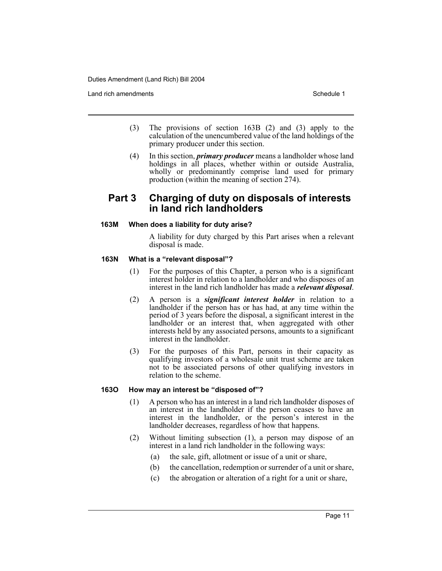Land rich amendments **Schedule 1** and the set of the set of the set of the set of the set of the set of the set of the set of the set of the set of the set of the set of the set of the set of the set of the set of the set

- (3) The provisions of section 163B (2) and (3) apply to the calculation of the unencumbered value of the land holdings of the primary producer under this section.
- (4) In this section, *primary producer* means a landholder whose land holdings in all places, whether within or outside Australia, wholly or predominantly comprise land used for primary production (within the meaning of section 274).

## **Part 3 Charging of duty on disposals of interests in land rich landholders**

## **163M When does a liability for duty arise?**

A liability for duty charged by this Part arises when a relevant disposal is made.

## **163N What is a "relevant disposal"?**

- (1) For the purposes of this Chapter, a person who is a significant interest holder in relation to a landholder and who disposes of an interest in the land rich landholder has made a *relevant disposal*.
- (2) A person is a *significant interest holder* in relation to a landholder if the person has or has had, at any time within the period of 3 years before the disposal, a significant interest in the landholder or an interest that, when aggregated with other interests held by any associated persons, amounts to a significant interest in the landholder.
- (3) For the purposes of this Part, persons in their capacity as qualifying investors of a wholesale unit trust scheme are taken not to be associated persons of other qualifying investors in relation to the scheme.

## **163O How may an interest be "disposed of"?**

- (1) A person who has an interest in a land rich landholder disposes of an interest in the landholder if the person ceases to have an interest in the landholder, or the person's interest in the landholder decreases, regardless of how that happens.
- (2) Without limiting subsection (1), a person may dispose of an interest in a land rich landholder in the following ways:
	- (a) the sale, gift, allotment or issue of a unit or share,
	- (b) the cancellation, redemption or surrender of a unit or share,
	- (c) the abrogation or alteration of a right for a unit or share,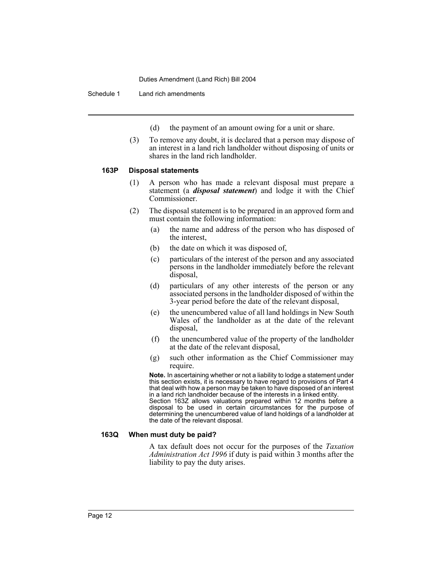Schedule 1 Land rich amendments

(d) the payment of an amount owing for a unit or share.

(3) To remove any doubt, it is declared that a person may dispose of an interest in a land rich landholder without disposing of units or shares in the land rich landholder.

## **163P Disposal statements**

- (1) A person who has made a relevant disposal must prepare a statement (a *disposal statement*) and lodge it with the Chief Commissioner.
- (2) The disposal statement is to be prepared in an approved form and must contain the following information:
	- (a) the name and address of the person who has disposed of the interest,
	- (b) the date on which it was disposed of,
	- (c) particulars of the interest of the person and any associated persons in the landholder immediately before the relevant disposal,
	- (d) particulars of any other interests of the person or any associated persons in the landholder disposed of within the 3-year period before the date of the relevant disposal,
	- (e) the unencumbered value of all land holdings in New South Wales of the landholder as at the date of the relevant disposal,
	- (f) the unencumbered value of the property of the landholder at the date of the relevant disposal,
	- (g) such other information as the Chief Commissioner may require.

**Note.** In ascertaining whether or not a liability to lodge a statement under this section exists, it is necessary to have regard to provisions of Part 4 that deal with how a person may be taken to have disposed of an interest in a land rich landholder because of the interests in a linked entity. Section 163Z allows valuations prepared within 12 months before a disposal to be used in certain circumstances for the purpose of determining the unencumbered value of land holdings of a landholder at the date of the relevant disposal.

## **163Q When must duty be paid?**

A tax default does not occur for the purposes of the *Taxation Administration Act 1996* if duty is paid within 3 months after the liability to pay the duty arises.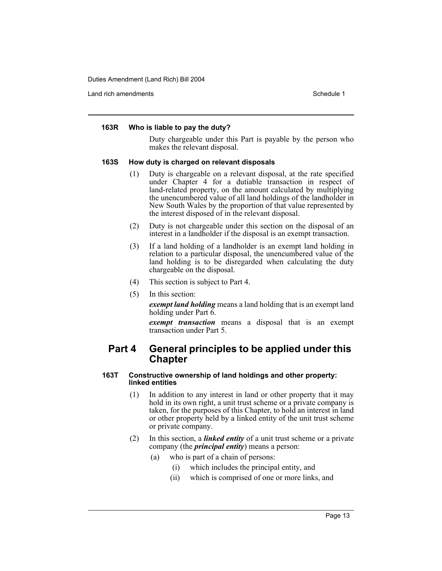Land rich amendments **Schedule 1** and the set of the set of the set of the set of the set of the set of the set of the set of the set of the set of the set of the set of the set of the set of the set of the set of the set

#### **163R Who is liable to pay the duty?**

Duty chargeable under this Part is payable by the person who makes the relevant disposal.

#### **163S How duty is charged on relevant disposals**

- (1) Duty is chargeable on a relevant disposal, at the rate specified under Chapter 4 for a dutiable transaction in respect of land-related property, on the amount calculated by multiplying the unencumbered value of all land holdings of the landholder in New South Wales by the proportion of that value represented by the interest disposed of in the relevant disposal.
- (2) Duty is not chargeable under this section on the disposal of an interest in a landholder if the disposal is an exempt transaction.
- (3) If a land holding of a landholder is an exempt land holding in relation to a particular disposal, the unencumbered value of the land holding is to be disregarded when calculating the duty chargeable on the disposal.
- (4) This section is subject to Part 4.
- (5) In this section:

*exempt land holding* means a land holding that is an exempt land holding under Part 6.

*exempt transaction* means a disposal that is an exempt transaction under Part 5.

## **Part 4 General principles to be applied under this Chapter**

#### **163T Constructive ownership of land holdings and other property: linked entities**

- (1) In addition to any interest in land or other property that it may hold in its own right, a unit trust scheme or a private company is taken, for the purposes of this Chapter, to hold an interest in land or other property held by a linked entity of the unit trust scheme or private company.
- (2) In this section, a *linked entity* of a unit trust scheme or a private company (the *principal entity*) means a person:
	- (a) who is part of a chain of persons:
		- (i) which includes the principal entity, and
		- (ii) which is comprised of one or more links, and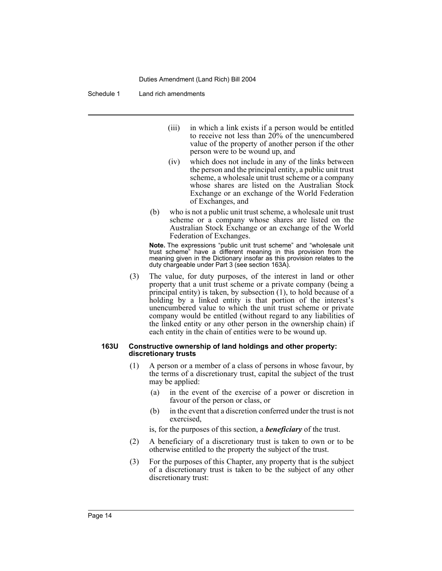Schedule 1 Land rich amendments

- (iii) in which a link exists if a person would be entitled to receive not less than  $20\%$  of the unencumbered value of the property of another person if the other person were to be wound up, and
- (iv) which does not include in any of the links between the person and the principal entity, a public unit trust scheme, a wholesale unit trust scheme or a company whose shares are listed on the Australian Stock Exchange or an exchange of the World Federation of Exchanges, and
- (b) who is not a public unit trust scheme, a wholesale unit trust scheme or a company whose shares are listed on the Australian Stock Exchange or an exchange of the World Federation of Exchanges.

**Note.** The expressions "public unit trust scheme" and "wholesale unit trust scheme" have a different meaning in this provision from the meaning given in the Dictionary insofar as this provision relates to the duty chargeable under Part 3 (see section 163A).

(3) The value, for duty purposes, of the interest in land or other property that a unit trust scheme or a private company (being a principal entity) is taken, by subsection (1), to hold because of a holding by a linked entity is that portion of the interest's unencumbered value to which the unit trust scheme or private company would be entitled (without regard to any liabilities of the linked entity or any other person in the ownership chain) if each entity in the chain of entities were to be wound up.

#### **163U Constructive ownership of land holdings and other property: discretionary trusts**

- (1) A person or a member of a class of persons in whose favour, by the terms of a discretionary trust, capital the subject of the trust may be applied:
	- (a) in the event of the exercise of a power or discretion in favour of the person or class, or
	- (b) in the event that a discretion conferred under the trust is not exercised,

is, for the purposes of this section, a *beneficiary* of the trust.

- (2) A beneficiary of a discretionary trust is taken to own or to be otherwise entitled to the property the subject of the trust.
- (3) For the purposes of this Chapter, any property that is the subject of a discretionary trust is taken to be the subject of any other discretionary trust: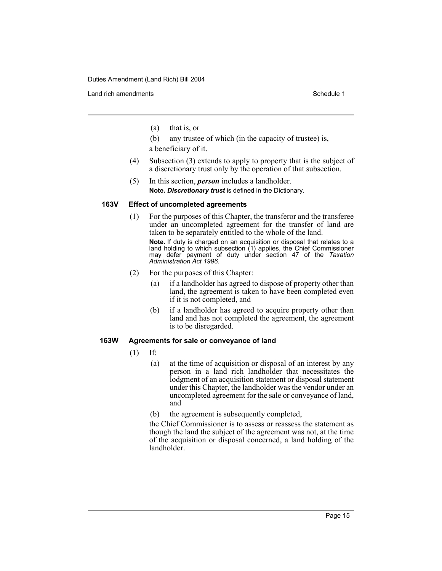Land rich amendments **Schedule 1** and the set of the set of the set of the set of the set of the set of the set of the set of the set of the set of the set of the set of the set of the set of the set of the set of the set

- (a) that is, or
- (b) any trustee of which (in the capacity of trustee) is, a beneficiary of it.
- (4) Subsection (3) extends to apply to property that is the subject of a discretionary trust only by the operation of that subsection.
- (5) In this section, *person* includes a landholder. **Note.** *Discretionary trust* is defined in the Dictionary.

## **163V Effect of uncompleted agreements**

(1) For the purposes of this Chapter, the transferor and the transferee under an uncompleted agreement for the transfer of land are taken to be separately entitled to the whole of the land.

**Note.** If duty is charged on an acquisition or disposal that relates to a land holding to which subsection (1) applies, the Chief Commissioner may defer payment of duty under section 47 of the *Taxation Administration Act 1996*.

- (2) For the purposes of this Chapter:
	- (a) if a landholder has agreed to dispose of property other than land, the agreement is taken to have been completed even if it is not completed, and
	- (b) if a landholder has agreed to acquire property other than land and has not completed the agreement, the agreement is to be disregarded.

## **163W Agreements for sale or conveyance of land**

- (1) If:
	- (a) at the time of acquisition or disposal of an interest by any person in a land rich landholder that necessitates the lodgment of an acquisition statement or disposal statement under this Chapter, the landholder was the vendor under an uncompleted agreement for the sale or conveyance of land, and
	- (b) the agreement is subsequently completed,

the Chief Commissioner is to assess or reassess the statement as though the land the subject of the agreement was not, at the time of the acquisition or disposal concerned, a land holding of the landholder.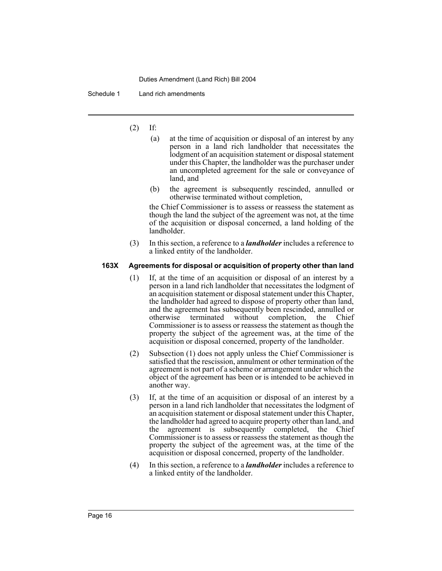Schedule 1 Land rich amendments

- (2) If:
	- (a) at the time of acquisition or disposal of an interest by any person in a land rich landholder that necessitates the lodgment of an acquisition statement or disposal statement under this Chapter, the landholder was the purchaser under an uncompleted agreement for the sale or conveyance of land, and
	- (b) the agreement is subsequently rescinded, annulled or otherwise terminated without completion,

the Chief Commissioner is to assess or reassess the statement as though the land the subject of the agreement was not, at the time of the acquisition or disposal concerned, a land holding of the landholder.

(3) In this section, a reference to a *landholder* includes a reference to a linked entity of the landholder.

## **163X Agreements for disposal or acquisition of property other than land**

- (1) If, at the time of an acquisition or disposal of an interest by a person in a land rich landholder that necessitates the lodgment of an acquisition statement or disposal statement under this Chapter, the landholder had agreed to dispose of property other than land, and the agreement has subsequently been rescinded, annulled or otherwise terminated without completion, the Chief Commissioner is to assess or reassess the statement as though the property the subject of the agreement was, at the time of the acquisition or disposal concerned, property of the landholder.
- (2) Subsection (1) does not apply unless the Chief Commissioner is satisfied that the rescission, annulment or other termination of the agreement is not part of a scheme or arrangement under which the object of the agreement has been or is intended to be achieved in another way.
- (3) If, at the time of an acquisition or disposal of an interest by a person in a land rich landholder that necessitates the lodgment of an acquisition statement or disposal statement under this Chapter, the landholder had agreed to acquire property other than land, and the agreement is subsequently completed, the Chief Commissioner is to assess or reassess the statement as though the property the subject of the agreement was, at the time of the acquisition or disposal concerned, property of the landholder.
- (4) In this section, a reference to a *landholder* includes a reference to a linked entity of the landholder.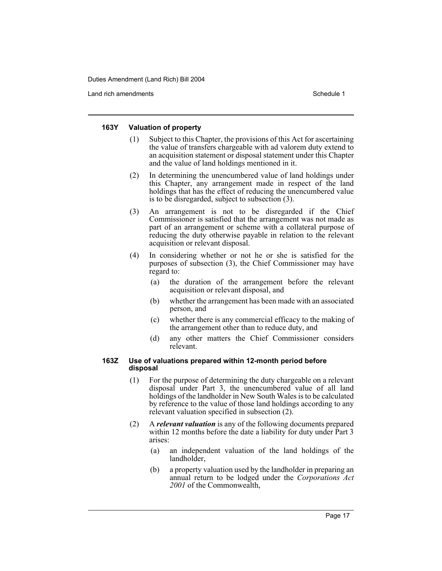Land rich amendments **Schedule 1** and the set of the set of the set of the set of the set of the set of the set of the set of the set of the set of the set of the set of the set of the set of the set of the set of the set

## **163Y Valuation of property**

- (1) Subject to this Chapter, the provisions of this Act for ascertaining the value of transfers chargeable with ad valorem duty extend to an acquisition statement or disposal statement under this Chapter and the value of land holdings mentioned in it.
- (2) In determining the unencumbered value of land holdings under this Chapter, any arrangement made in respect of the land holdings that has the effect of reducing the unencumbered value is to be disregarded, subject to subsection (3).
- (3) An arrangement is not to be disregarded if the Chief Commissioner is satisfied that the arrangement was not made as part of an arrangement or scheme with a collateral purpose of reducing the duty otherwise payable in relation to the relevant acquisition or relevant disposal.
- (4) In considering whether or not he or she is satisfied for the purposes of subsection (3), the Chief Commissioner may have regard to:
	- (a) the duration of the arrangement before the relevant acquisition or relevant disposal, and
	- (b) whether the arrangement has been made with an associated person, and
	- (c) whether there is any commercial efficacy to the making of the arrangement other than to reduce duty, and
	- (d) any other matters the Chief Commissioner considers relevant.

## **163Z Use of valuations prepared within 12-month period before disposal**

- (1) For the purpose of determining the duty chargeable on a relevant disposal under Part 3, the unencumbered value of all land holdings of the landholder in New South Wales is to be calculated by reference to the value of those land holdings according to any relevant valuation specified in subsection (2).
- (2) A *relevant valuation* is any of the following documents prepared within 12 months before the date a liability for duty under Part 3 arises:
	- (a) an independent valuation of the land holdings of the landholder,
	- (b) a property valuation used by the landholder in preparing an annual return to be lodged under the *Corporations Act 2001* of the Commonwealth,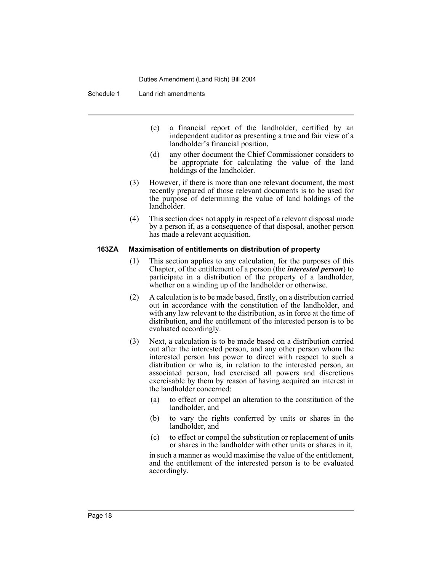Schedule 1 Land rich amendments

- (c) a financial report of the landholder, certified by an independent auditor as presenting a true and fair view of a landholder's financial position,
- (d) any other document the Chief Commissioner considers to be appropriate for calculating the value of the land holdings of the landholder.
- (3) However, if there is more than one relevant document, the most recently prepared of those relevant documents is to be used for the purpose of determining the value of land holdings of the landholder.
- (4) This section does not apply in respect of a relevant disposal made by a person if, as a consequence of that disposal, another person has made a relevant acquisition.

#### **163ZA Maximisation of entitlements on distribution of property**

- (1) This section applies to any calculation, for the purposes of this Chapter, of the entitlement of a person (the *interested person*) to participate in a distribution of the property of a landholder, whether on a winding up of the landholder or otherwise.
- (2) A calculation is to be made based, firstly, on a distribution carried out in accordance with the constitution of the landholder, and with any law relevant to the distribution, as in force at the time of distribution, and the entitlement of the interested person is to be evaluated accordingly.
- (3) Next, a calculation is to be made based on a distribution carried out after the interested person, and any other person whom the interested person has power to direct with respect to such a distribution or who is, in relation to the interested person, an associated person, had exercised all powers and discretions exercisable by them by reason of having acquired an interest in the landholder concerned:
	- (a) to effect or compel an alteration to the constitution of the landholder, and
	- (b) to vary the rights conferred by units or shares in the landholder, and
	- (c) to effect or compel the substitution or replacement of units or shares in the landholder with other units or shares in it,

in such a manner as would maximise the value of the entitlement, and the entitlement of the interested person is to be evaluated accordingly.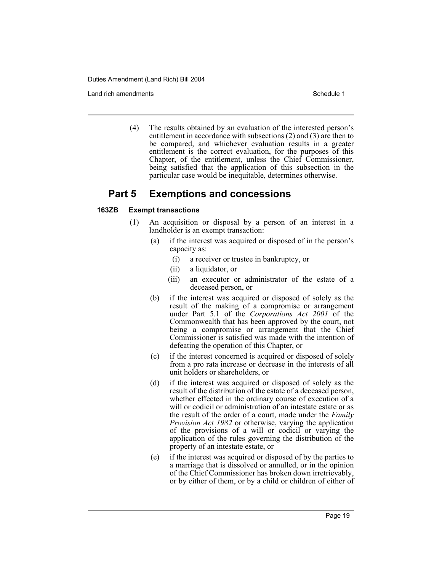Land rich amendments **Schedule 1** and the set of the set of the set of the set of the set of the set of the set of the set of the set of the set of the set of the set of the set of the set of the set of the set of the set

(4) The results obtained by an evaluation of the interested person's entitlement in accordance with subsections (2) and (3) are then to be compared, and whichever evaluation results in a greater entitlement is the correct evaluation, for the purposes of this Chapter, of the entitlement, unless the Chief Commissioner, being satisfied that the application of this subsection in the particular case would be inequitable, determines otherwise.

## **Part 5 Exemptions and concessions**

## **163ZB Exempt transactions**

- (1) An acquisition or disposal by a person of an interest in a landholder is an exempt transaction:
	- (a) if the interest was acquired or disposed of in the person's capacity as:
		- (i) a receiver or trustee in bankruptcy, or
		- (ii) a liquidator, or
		- (iii) an executor or administrator of the estate of a deceased person, or
	- (b) if the interest was acquired or disposed of solely as the result of the making of a compromise or arrangement under Part 5.1 of the *Corporations Act 2001* of the Commonwealth that has been approved by the court, not being a compromise or arrangement that the Chief Commissioner is satisfied was made with the intention of defeating the operation of this Chapter, or
	- (c) if the interest concerned is acquired or disposed of solely from a pro rata increase or decrease in the interests of all unit holders or shareholders, or
	- (d) if the interest was acquired or disposed of solely as the result of the distribution of the estate of a deceased person, whether effected in the ordinary course of execution of a will or codicil or administration of an intestate estate or as the result of the order of a court, made under the *Family Provision Act 1982* or otherwise, varying the application of the provisions of a will or codicil or varying the application of the rules governing the distribution of the property of an intestate estate, or
	- (e) if the interest was acquired or disposed of by the parties to a marriage that is dissolved or annulled, or in the opinion of the Chief Commissioner has broken down irretrievably, or by either of them, or by a child or children of either of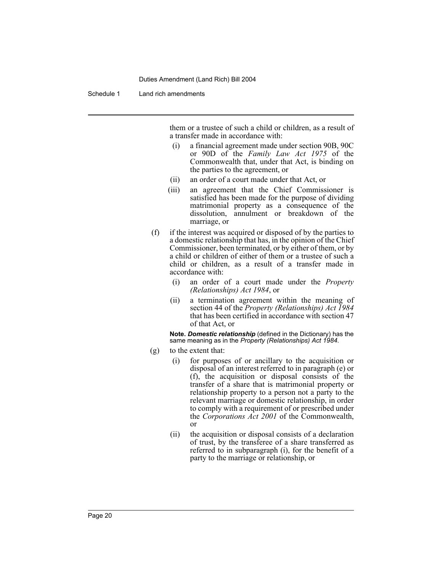Schedule 1 Land rich amendments

them or a trustee of such a child or children, as a result of a transfer made in accordance with:

- (i) a financial agreement made under section 90B, 90C or 90D of the *Family Law Act 1975* of the Commonwealth that, under that Act, is binding on the parties to the agreement, or
- (ii) an order of a court made under that Act, or
- (iii) an agreement that the Chief Commissioner is satisfied has been made for the purpose of dividing matrimonial property as a consequence of the dissolution, annulment or breakdown of the marriage, or
- (f) if the interest was acquired or disposed of by the parties to a domestic relationship that has, in the opinion of the Chief Commissioner, been terminated, or by either of them, or by a child or children of either of them or a trustee of such a child or children, as a result of a transfer made in accordance with:
	- (i) an order of a court made under the *Property (Relationships) Act 1984*, or
	- (ii) a termination agreement within the meaning of section 44 of the *Property (Relationships) Act 1984* that has been certified in accordance with section 47 of that Act, or

**Note.** *Domestic relationship* (defined in the Dictionary) has the same meaning as in the *Property (Relationships) Act 1984*.

- (g) to the extent that:
	- (i) for purposes of or ancillary to the acquisition or disposal of an interest referred to in paragraph (e) or (f), the acquisition or disposal consists of the transfer of a share that is matrimonial property or relationship property to a person not a party to the relevant marriage or domestic relationship, in order to comply with a requirement of or prescribed under the *Corporations Act 2001* of the Commonwealth, or
	- (ii) the acquisition or disposal consists of a declaration of trust, by the transferee of a share transferred as referred to in subparagraph (i), for the benefit of a party to the marriage or relationship, or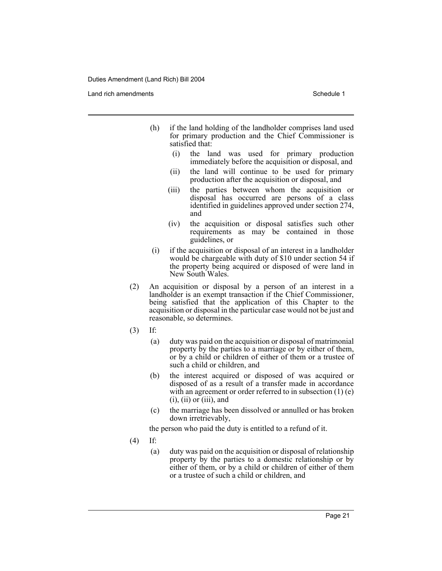Land rich amendments **Schedule 1** and the set of the set of the set of the set of the set of the set of the set of the set of the set of the set of the set of the set of the set of the set of the set of the set of the set

- (h) if the land holding of the landholder comprises land used for primary production and the Chief Commissioner is satisfied that:
	- (i) the land was used for primary production immediately before the acquisition or disposal, and
	- (ii) the land will continue to be used for primary production after the acquisition or disposal, and
	- (iii) the parties between whom the acquisition or disposal has occurred are persons of a class identified in guidelines approved under section 274, and
	- (iv) the acquisition or disposal satisfies such other requirements as may be contained in those guidelines, or
- (i) if the acquisition or disposal of an interest in a landholder would be chargeable with duty of \$10 under section 54 if the property being acquired or disposed of were land in New South Wales.
- (2) An acquisition or disposal by a person of an interest in a landholder is an exempt transaction if the Chief Commissioner, being satisfied that the application of this Chapter to the acquisition or disposal in the particular case would not be just and reasonable, so determines.
- (3) If:
	- (a) duty was paid on the acquisition or disposal of matrimonial property by the parties to a marriage or by either of them, or by a child or children of either of them or a trustee of such a child or children, and
	- (b) the interest acquired or disposed of was acquired or disposed of as a result of a transfer made in accordance with an agreement or order referred to in subsection (1) (e)  $(i)$ ,  $(ii)$  or  $(iii)$ , and
	- (c) the marriage has been dissolved or annulled or has broken down irretrievably,

the person who paid the duty is entitled to a refund of it.

- (4) If:
	- (a) duty was paid on the acquisition or disposal of relationship property by the parties to a domestic relationship or by either of them, or by a child or children of either of them or a trustee of such a child or children, and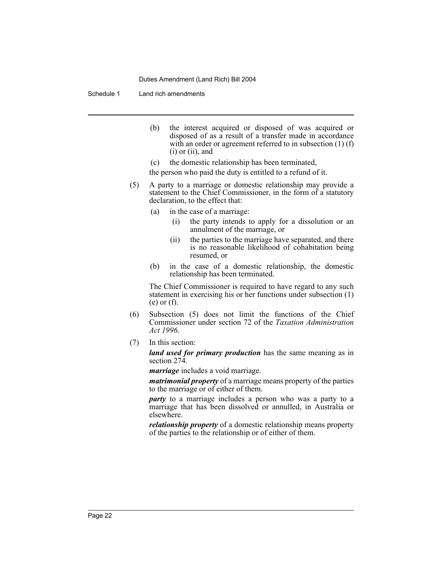Schedule 1 Land rich amendments

- (b) the interest acquired or disposed of was acquired or disposed of as a result of a transfer made in accordance with an order or agreement referred to in subsection (1) (f)  $(i)$  or  $(ii)$ , and
- (c) the domestic relationship has been terminated,

the person who paid the duty is entitled to a refund of it.

- (5) A party to a marriage or domestic relationship may provide a statement to the Chief Commissioner, in the form of a statutory declaration, to the effect that:
	- (a) in the case of a marriage:
		- (i) the party intends to apply for a dissolution or an annulment of the marriage, or
		- (ii) the parties to the marriage have separated, and there is no reasonable likelihood of cohabitation being resumed, or
	- (b) in the case of a domestic relationship, the domestic relationship has been terminated.

The Chief Commissioner is required to have regard to any such statement in exercising his or her functions under subsection (1) (e) or (f).

- (6) Subsection (5) does not limit the functions of the Chief Commissioner under section 72 of the *Taxation Administration Act 1996*.
- (7) In this section:

*land used for primary production* has the same meaning as in section 274.

*marriage* includes a void marriage.

*matrimonial property* of a marriage means property of the parties to the marriage or of either of them.

*party* to a marriage includes a person who was a party to a marriage that has been dissolved or annulled, in Australia or elsewhere.

*relationship property* of a domestic relationship means property of the parties to the relationship or of either of them.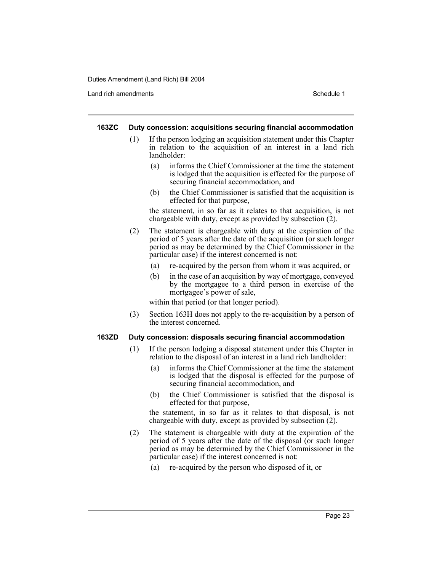Land rich amendments **Schedule 1** and the set of the set of the set of the set of the set of the set of the set of the set of the set of the set of the set of the set of the set of the set of the set of the set of the set

#### **163ZC Duty concession: acquisitions securing financial accommodation**

- (1) If the person lodging an acquisition statement under this Chapter in relation to the acquisition of an interest in a land rich landholder:
	- (a) informs the Chief Commissioner at the time the statement is lodged that the acquisition is effected for the purpose of securing financial accommodation, and
	- (b) the Chief Commissioner is satisfied that the acquisition is effected for that purpose,

the statement, in so far as it relates to that acquisition, is not chargeable with duty, except as provided by subsection (2).

- (2) The statement is chargeable with duty at the expiration of the period of 5 years after the date of the acquisition (or such longer period as may be determined by the Chief Commissioner in the particular case) if the interest concerned is not:
	- (a) re-acquired by the person from whom it was acquired, or
	- (b) in the case of an acquisition by way of mortgage, conveyed by the mortgagee to a third person in exercise of the mortgagee's power of sale,

within that period (or that longer period).

(3) Section 163H does not apply to the re-acquisition by a person of the interest concerned.

#### **163ZD Duty concession: disposals securing financial accommodation**

- (1) If the person lodging a disposal statement under this Chapter in relation to the disposal of an interest in a land rich landholder:
	- (a) informs the Chief Commissioner at the time the statement is lodged that the disposal is effected for the purpose of securing financial accommodation, and
	- (b) the Chief Commissioner is satisfied that the disposal is effected for that purpose,

the statement, in so far as it relates to that disposal, is not chargeable with duty, except as provided by subsection (2).

- (2) The statement is chargeable with duty at the expiration of the period of 5 years after the date of the disposal (or such longer period as may be determined by the Chief Commissioner in the particular case) if the interest concerned is not:
	- (a) re-acquired by the person who disposed of it, or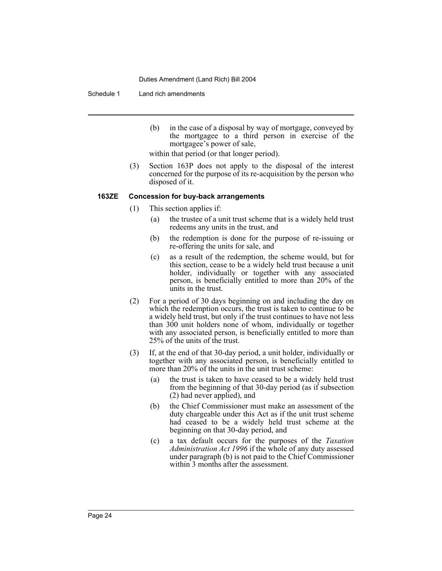Schedule 1 Land rich amendments

(b) in the case of a disposal by way of mortgage, conveyed by the mortgagee to a third person in exercise of the mortgagee's power of sale,

within that period (or that longer period).

(3) Section 163P does not apply to the disposal of the interest concerned for the purpose of its re-acquisition by the person who disposed of it.

#### **163ZE Concession for buy-back arrangements**

- (1) This section applies if:
	- (a) the trustee of a unit trust scheme that is a widely held trust redeems any units in the trust, and
	- (b) the redemption is done for the purpose of re-issuing or re-offering the units for sale, and
	- (c) as a result of the redemption, the scheme would, but for this section, cease to be a widely held trust because a unit holder, individually or together with any associated person, is beneficially entitled to more than 20% of the units in the trust.
- (2) For a period of 30 days beginning on and including the day on which the redemption occurs, the trust is taken to continue to be a widely held trust, but only if the trust continues to have not less than 300 unit holders none of whom, individually or together with any associated person, is beneficially entitled to more than 25% of the units of the trust.
- (3) If, at the end of that 30-day period, a unit holder, individually or together with any associated person, is beneficially entitled to more than 20% of the units in the unit trust scheme:
	- (a) the trust is taken to have ceased to be a widely held trust from the beginning of that 30-day period (as if subsection (2) had never applied), and
	- (b) the Chief Commissioner must make an assessment of the duty chargeable under this Act as if the unit trust scheme had ceased to be a widely held trust scheme at the beginning on that 30-day period, and
	- (c) a tax default occurs for the purposes of the *Taxation Administration Act 1996* if the whole of any duty assessed under paragraph (b) is not paid to the Chief Commissioner within 3 months after the assessment.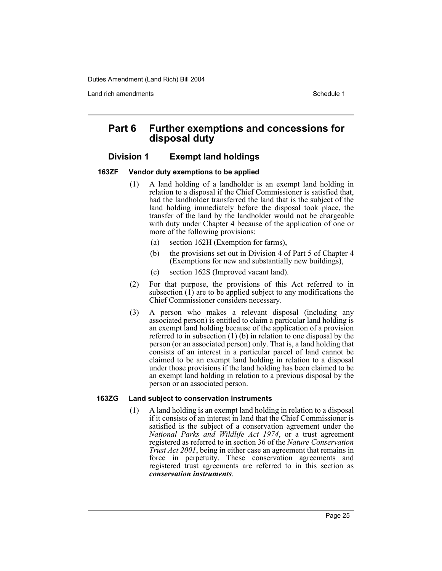Land rich amendments **Schedule 1** and the set of the set of the set of the set of the set of the set of the set of the set of the set of the set of the set of the set of the set of the set of the set of the set of the set

## **Part 6 Further exemptions and concessions for disposal duty**

## **Division 1 Exempt land holdings**

## **163ZF Vendor duty exemptions to be applied**

- (1) A land holding of a landholder is an exempt land holding in relation to a disposal if the Chief Commissioner is satisfied that, had the landholder transferred the land that is the subject of the land holding immediately before the disposal took place, the transfer of the land by the landholder would not be chargeable with duty under Chapter 4 because of the application of one or more of the following provisions:
	- (a) section 162H (Exemption for farms),
	- (b) the provisions set out in Division 4 of Part 5 of Chapter 4 (Exemptions for new and substantially new buildings),
	- (c) section 162S (Improved vacant land).
- (2) For that purpose, the provisions of this Act referred to in subsection (1) are to be applied subject to any modifications the Chief Commissioner considers necessary.
- (3) A person who makes a relevant disposal (including any associated person) is entitled to claim a particular land holding is an exempt land holding because of the application of a provision referred to in subsection (1) (b) in relation to one disposal by the person (or an associated person) only. That is, a land holding that consists of an interest in a particular parcel of land cannot be claimed to be an exempt land holding in relation to a disposal under those provisions if the land holding has been claimed to be an exempt land holding in relation to a previous disposal by the person or an associated person.

## **163ZG Land subject to conservation instruments**

(1) A land holding is an exempt land holding in relation to a disposal if it consists of an interest in land that the Chief Commissioner is satisfied is the subject of a conservation agreement under the *National Parks and Wildlife Act 1974*, or a trust agreement registered as referred to in section 36 of the *Nature Conservation Trust Act 2001*, being in either case an agreement that remains in force in perpetuity. These conservation agreements and registered trust agreements are referred to in this section as *conservation instruments*.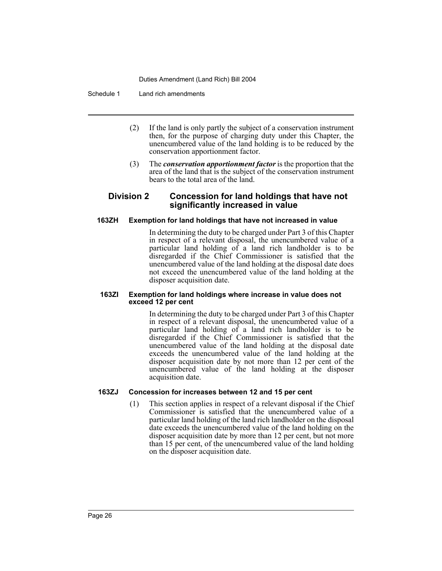Schedule 1 Land rich amendments

- (2) If the land is only partly the subject of a conservation instrument then, for the purpose of charging duty under this Chapter, the unencumbered value of the land holding is to be reduced by the conservation apportionment factor.
- (3) The *conservation apportionment factor* is the proportion that the area of the land that is the subject of the conservation instrument bears to the total area of the land.

## **Division 2 Concession for land holdings that have not significantly increased in value**

## **163ZH Exemption for land holdings that have not increased in value**

In determining the duty to be charged under Part 3 of this Chapter in respect of a relevant disposal, the unencumbered value of a particular land holding of a land rich landholder is to be disregarded if the Chief Commissioner is satisfied that the unencumbered value of the land holding at the disposal date does not exceed the unencumbered value of the land holding at the disposer acquisition date.

#### **163ZI Exemption for land holdings where increase in value does not exceed 12 per cent**

In determining the duty to be charged under Part 3 of this Chapter in respect of a relevant disposal, the unencumbered value of a particular land holding of a land rich landholder is to be disregarded if the Chief Commissioner is satisfied that the unencumbered value of the land holding at the disposal date exceeds the unencumbered value of the land holding at the disposer acquisition date by not more than 12 per cent of the unencumbered value of the land holding at the disposer acquisition date.

## **163ZJ Concession for increases between 12 and 15 per cent**

(1) This section applies in respect of a relevant disposal if the Chief Commissioner is satisfied that the unencumbered value of a particular land holding of the land rich landholder on the disposal date exceeds the unencumbered value of the land holding on the disposer acquisition date by more than 12 per cent, but not more than 15 per cent, of the unencumbered value of the land holding on the disposer acquisition date.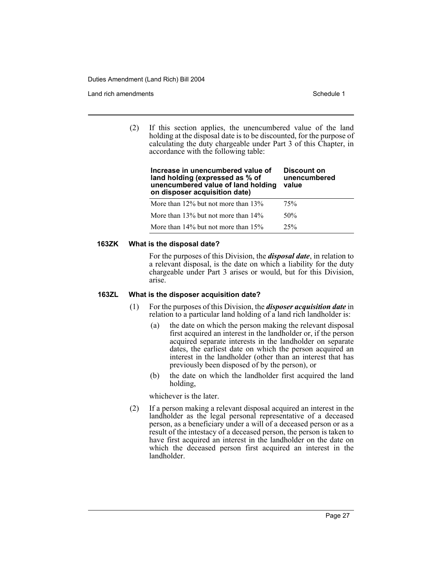Land rich amendments **Schedule 1** and the set of the set of the set of the set of the set of the set of the set of the set of the set of the set of the set of the set of the set of the set of the set of the set of the set

(2) If this section applies, the unencumbered value of the land holding at the disposal date is to be discounted, for the purpose of calculating the duty chargeable under Part 3 of this Chapter, in accordance with the following table:

| Increase in unencumbered value of<br>land holding (expressed as % of<br>unencumbered value of land holding<br>on disposer acquisition date) | Discount on<br>unencumbered<br>value |
|---------------------------------------------------------------------------------------------------------------------------------------------|--------------------------------------|
| More than $12\%$ but not more than $13\%$                                                                                                   | 75%                                  |
| More than $13\%$ but not more than $14\%$                                                                                                   | 50 <sub>%</sub>                      |

More than 14% but not more than 15% 25%

#### **163ZK What is the disposal date?**

For the purposes of this Division, the *disposal date*, in relation to a relevant disposal, is the date on which a liability for the duty chargeable under Part 3 arises or would, but for this Division, arise.

#### **163ZL What is the disposer acquisition date?**

- (1) For the purposes of this Division, the *disposer acquisition date* in relation to a particular land holding of a land rich landholder is:
	- (a) the date on which the person making the relevant disposal first acquired an interest in the landholder or, if the person acquired separate interests in the landholder on separate dates, the earliest date on which the person acquired an interest in the landholder (other than an interest that has previously been disposed of by the person), or
	- (b) the date on which the landholder first acquired the land holding,

whichever is the later.

(2) If a person making a relevant disposal acquired an interest in the landholder as the legal personal representative of a deceased person, as a beneficiary under a will of a deceased person or as a result of the intestacy of a deceased person, the person is taken to have first acquired an interest in the landholder on the date on which the deceased person first acquired an interest in the landholder.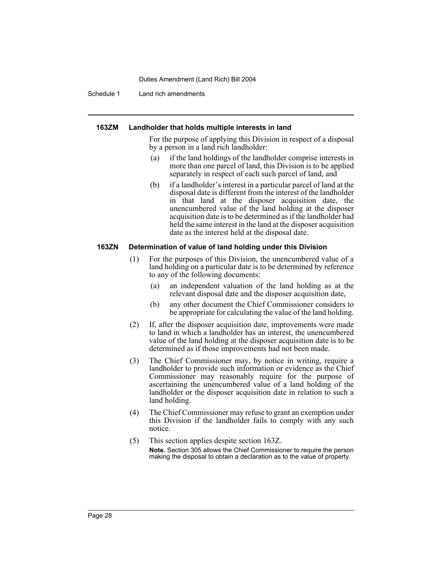Schedule 1 Land rich amendments

#### **163ZM Landholder that holds multiple interests in land**

For the purpose of applying this Division in respect of a disposal by a person in a land rich landholder:

- (a) if the land holdings of the landholder comprise interests in more than one parcel of land, this Division is to be applied separately in respect of each such parcel of land, and
- (b) if a landholder's interest in a particular parcel of land at the disposal date is different from the interest of the landholder in that land at the disposer acquisition date, the unencumbered value of the land holding at the disposer acquisition date is to be determined as if the landholder had held the same interest in the land at the disposer acquisition date as the interest held at the disposal date.

#### **163ZN Determination of value of land holding under this Division**

- (1) For the purposes of this Division, the unencumbered value of a land holding on a particular date is to be determined by reference to any of the following documents:
	- (a) an independent valuation of the land holding as at the relevant disposal date and the disposer acquisition date,
	- (b) any other document the Chief Commissioner considers to be appropriate for calculating the value of the land holding.
- (2) If, after the disposer acquisition date, improvements were made to land in which a landholder has an interest, the unencumbered value of the land holding at the disposer acquisition date is to be determined as if those improvements had not been made.
- (3) The Chief Commissioner may, by notice in writing, require a landholder to provide such information or evidence as the Chief Commissioner may reasonably require for the purpose of ascertaining the unencumbered value of a land holding of the landholder or the disposer acquisition date in relation to such a land holding.
- (4) The Chief Commissioner may refuse to grant an exemption under this Division if the landholder fails to comply with any such notice.
- (5) This section applies despite section 163Z. **Note.** Section 305 allows the Chief Commissioner to require the person making the disposal to obtain a declaration as to the value of property.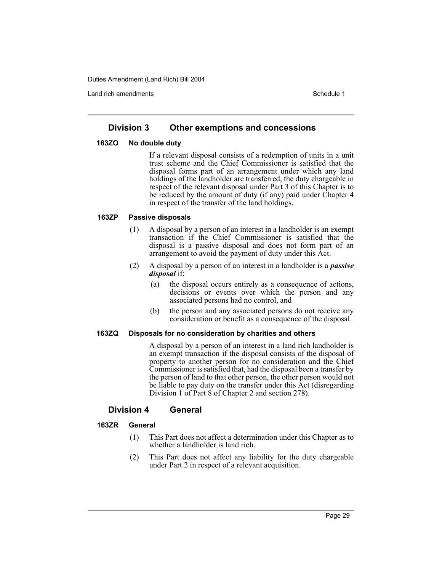Land rich amendments **Schedule 1** and the set of the set of the set of the set of the set of the set of the set of the set of the set of the set of the set of the set of the set of the set of the set of the set of the set

## **Division 3 Other exemptions and concessions**

## **163ZO No double duty**

If a relevant disposal consists of a redemption of units in a unit trust scheme and the Chief Commissioner is satisfied that the disposal forms part of an arrangement under which any land holdings of the landholder are transferred, the duty chargeable in respect of the relevant disposal under Part 3 of this Chapter is to be reduced by the amount of duty (if any) paid under Chapter 4 in respect of the transfer of the land holdings.

## **163ZP Passive disposals**

- (1) A disposal by a person of an interest in a landholder is an exempt transaction if the Chief Commissioner is satisfied that the disposal is a passive disposal and does not form part of an arrangement to avoid the payment of duty under this Act.
- (2) A disposal by a person of an interest in a landholder is a *passive disposal* if:
	- (a) the disposal occurs entirely as a consequence of actions, decisions or events over which the person and any associated persons had no control, and
	- (b) the person and any associated persons do not receive any consideration or benefit as a consequence of the disposal.

## **163ZQ Disposals for no consideration by charities and others**

A disposal by a person of an interest in a land rich landholder is an exempt transaction if the disposal consists of the disposal of property to another person for no consideration and the Chief Commissioner is satisfied that, had the disposal been a transfer by the person of land to that other person, the other person would not be liable to pay duty on the transfer under this Act (disregarding Division 1 of Part 8 of Chapter 2 and section 278).

## **Division 4 General**

## **163ZR General**

- (1) This Part does not affect a determination under this Chapter as to whether a landholder is land rich.
- (2) This Part does not affect any liability for the duty chargeable under Part 2 in respect of a relevant acquisition.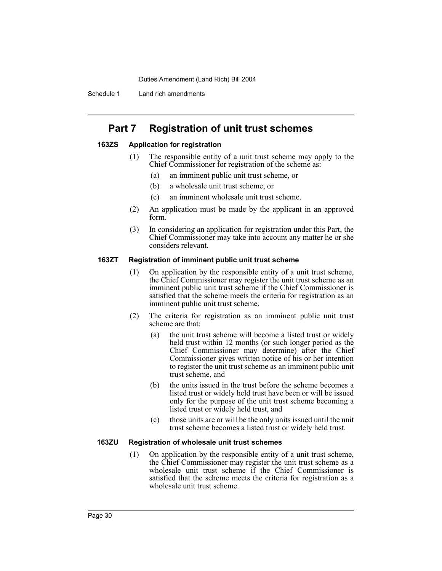Schedule 1 Land rich amendments

## **Part 7 Registration of unit trust schemes**

## **163ZS Application for registration**

- (1) The responsible entity of a unit trust scheme may apply to the Chief Commissioner for registration of the scheme as:
	- (a) an imminent public unit trust scheme, or
	- (b) a wholesale unit trust scheme, or
	- (c) an imminent wholesale unit trust scheme.
- (2) An application must be made by the applicant in an approved form.
- (3) In considering an application for registration under this Part, the Chief Commissioner may take into account any matter he or she considers relevant.

#### **163ZT Registration of imminent public unit trust scheme**

- (1) On application by the responsible entity of a unit trust scheme, the Chief Commissioner may register the unit trust scheme as an imminent public unit trust scheme if the Chief Commissioner is satisfied that the scheme meets the criteria for registration as an imminent public unit trust scheme.
- (2) The criteria for registration as an imminent public unit trust scheme are that:
	- (a) the unit trust scheme will become a listed trust or widely held trust within 12 months (or such longer period as the Chief Commissioner may determine) after the Chief Commissioner gives written notice of his or her intention to register the unit trust scheme as an imminent public unit trust scheme, and
	- (b) the units issued in the trust before the scheme becomes a listed trust or widely held trust have been or will be issued only for the purpose of the unit trust scheme becoming a listed trust or widely held trust, and
	- (c) those units are or will be the only units issued until the unit trust scheme becomes a listed trust or widely held trust.

## **163ZU Registration of wholesale unit trust schemes**

(1) On application by the responsible entity of a unit trust scheme, the Chief Commissioner may register the unit trust scheme as a wholesale unit trust scheme if the Chief Commissioner is satisfied that the scheme meets the criteria for registration as a wholesale unit trust scheme.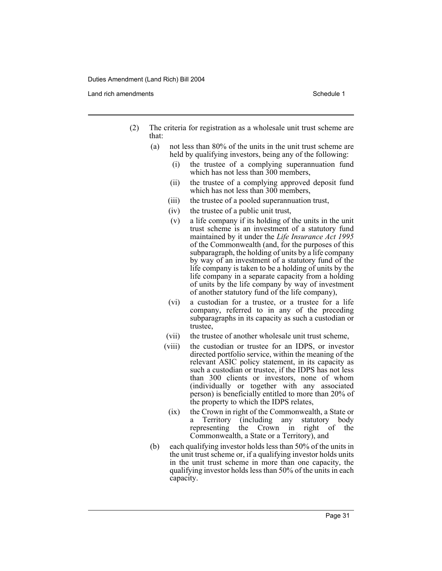Land rich amendments **Schedule 1** and the set of the set of the set of the set of the set of the set of the set of the set of the set of the set of the set of the set of the set of the set of the set of the set of the set

- (2) The criteria for registration as a wholesale unit trust scheme are that:
	- (a) not less than 80% of the units in the unit trust scheme are held by qualifying investors, being any of the following:
		- (i) the trustee of a complying superannuation fund which has not less than 300 members,
		- (ii) the trustee of a complying approved deposit fund which has not less than 300 members,
		- (iii) the trustee of a pooled superannuation trust,
		- (iv) the trustee of a public unit trust,
		- (v) a life company if its holding of the units in the unit trust scheme is an investment of a statutory fund maintained by it under the *Life Insurance Act 1995* of the Commonwealth (and, for the purposes of this subparagraph, the holding of units by a life company by way of an investment of a statutory fund of the life company is taken to be a holding of units by the life company in a separate capacity from a holding of units by the life company by way of investment of another statutory fund of the life company),
		- (vi) a custodian for a trustee, or a trustee for a life company, referred to in any of the preceding subparagraphs in its capacity as such a custodian or trustee,
		- (vii) the trustee of another wholesale unit trust scheme,
		- (viii) the custodian or trustee for an IDPS, or investor directed portfolio service, within the meaning of the relevant ASIC policy statement, in its capacity as such a custodian or trustee, if the IDPS has not less than 300 clients or investors, none of whom (individually or together with any associated person) is beneficially entitled to more than 20% of the property to which the IDPS relates,
			- (ix) the Crown in right of the Commonwealth, a State or a Territory (including any statutory body representing the Crown in right of the Commonwealth, a State or a Territory), and
	- (b) each qualifying investor holds less than 50% of the units in the unit trust scheme or, if a qualifying investor holds units in the unit trust scheme in more than one capacity, the qualifying investor holds less than 50% of the units in each capacity.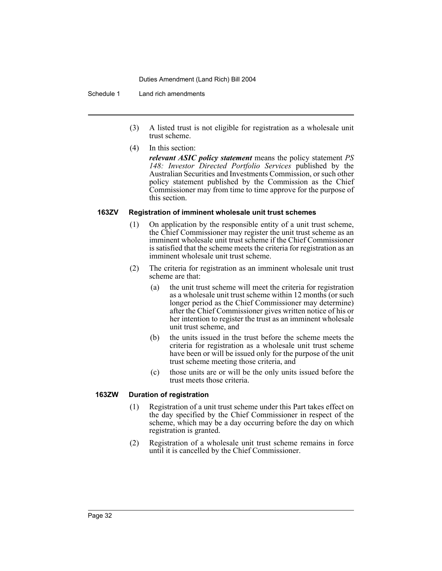#### Schedule 1 Land rich amendments

- (3) A listed trust is not eligible for registration as a wholesale unit trust scheme.
- (4) In this section:

*relevant ASIC policy statement* means the policy statement *PS 148: Investor Directed Portfolio Services* published by the Australian Securities and Investments Commission, or such other policy statement published by the Commission as the Chief Commissioner may from time to time approve for the purpose of this section.

## **163ZV Registration of imminent wholesale unit trust schemes**

- (1) On application by the responsible entity of a unit trust scheme, the Chief Commissioner may register the unit trust scheme as an imminent wholesale unit trust scheme if the Chief Commissioner is satisfied that the scheme meets the criteria for registration as an imminent wholesale unit trust scheme.
- (2) The criteria for registration as an imminent wholesale unit trust scheme are that:
	- (a) the unit trust scheme will meet the criteria for registration as a wholesale unit trust scheme within 12 months (or such longer period as the Chief Commissioner may determine) after the Chief Commissioner gives written notice of his or her intention to register the trust as an imminent wholesale unit trust scheme, and
	- (b) the units issued in the trust before the scheme meets the criteria for registration as a wholesale unit trust scheme have been or will be issued only for the purpose of the unit trust scheme meeting those criteria, and
	- (c) those units are or will be the only units issued before the trust meets those criteria.

## **163ZW Duration of registration**

- (1) Registration of a unit trust scheme under this Part takes effect on the day specified by the Chief Commissioner in respect of the scheme, which may be a day occurring before the day on which registration is granted.
- (2) Registration of a wholesale unit trust scheme remains in force until it is cancelled by the Chief Commissioner.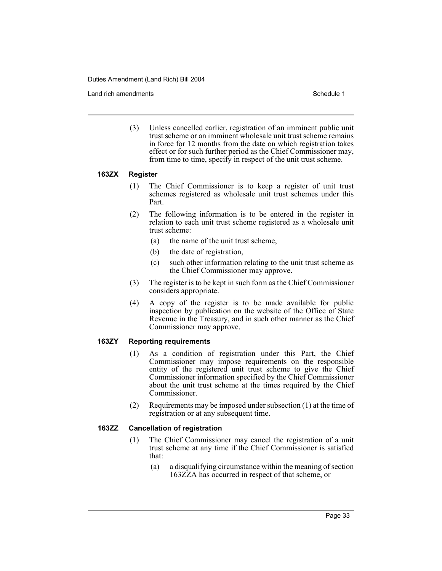Land rich amendments **Schedule 1** and the set of the set of the set of the set of the set of the set of the set of the set of the set of the set of the set of the set of the set of the set of the set of the set of the set

(3) Unless cancelled earlier, registration of an imminent public unit trust scheme or an imminent wholesale unit trust scheme remains in force for 12 months from the date on which registration takes effect or for such further period as the Chief Commissioner may, from time to time, specify in respect of the unit trust scheme.

## **163ZX Register**

- (1) The Chief Commissioner is to keep a register of unit trust schemes registered as wholesale unit trust schemes under this Part.
- (2) The following information is to be entered in the register in relation to each unit trust scheme registered as a wholesale unit trust scheme:
	- (a) the name of the unit trust scheme,
	- (b) the date of registration,
	- (c) such other information relating to the unit trust scheme as the Chief Commissioner may approve.
- (3) The register is to be kept in such form as the Chief Commissioner considers appropriate.
- (4) A copy of the register is to be made available for public inspection by publication on the website of the Office of State Revenue in the Treasury, and in such other manner as the Chief Commissioner may approve.

## **163ZY Reporting requirements**

- (1) As a condition of registration under this Part, the Chief Commissioner may impose requirements on the responsible entity of the registered unit trust scheme to give the Chief Commissioner information specified by the Chief Commissioner about the unit trust scheme at the times required by the Chief Commissioner.
- (2) Requirements may be imposed under subsection (1) at the time of registration or at any subsequent time.

#### **163ZZ Cancellation of registration**

- (1) The Chief Commissioner may cancel the registration of a unit trust scheme at any time if the Chief Commissioner is satisfied that:
	- (a) a disqualifying circumstance within the meaning of section 163ZZA has occurred in respect of that scheme, or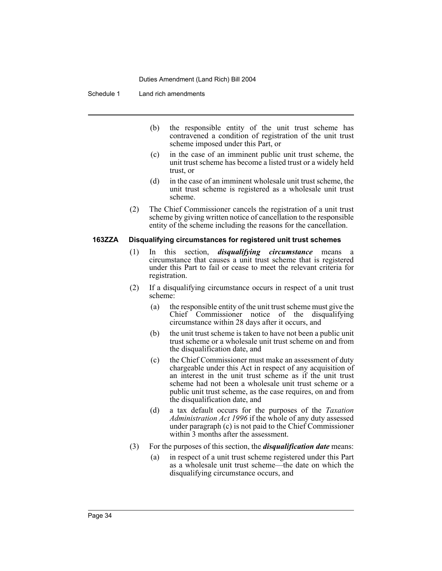Schedule 1 Land rich amendments

- (b) the responsible entity of the unit trust scheme has contravened a condition of registration of the unit trust scheme imposed under this Part, or
- (c) in the case of an imminent public unit trust scheme, the unit trust scheme has become a listed trust or a widely held trust, or
- (d) in the case of an imminent wholesale unit trust scheme, the unit trust scheme is registered as a wholesale unit trust scheme.
- (2) The Chief Commissioner cancels the registration of a unit trust scheme by giving written notice of cancellation to the responsible entity of the scheme including the reasons for the cancellation.

#### **163ZZA Disqualifying circumstances for registered unit trust schemes**

- (1) In this section, *disqualifying circumstance* means a circumstance that causes a unit trust scheme that is registered under this Part to fail or cease to meet the relevant criteria for registration.
- (2) If a disqualifying circumstance occurs in respect of a unit trust scheme:
	- (a) the responsible entity of the unit trust scheme must give the Chief Commissioner notice of the disqualifying circumstance within 28 days after it occurs, and
	- (b) the unit trust scheme is taken to have not been a public unit trust scheme or a wholesale unit trust scheme on and from the disqualification date, and
	- (c) the Chief Commissioner must make an assessment of duty chargeable under this Act in respect of any acquisition of an interest in the unit trust scheme as if the unit trust scheme had not been a wholesale unit trust scheme or a public unit trust scheme, as the case requires, on and from the disqualification date, and
	- (d) a tax default occurs for the purposes of the *Taxation Administration Act 1996* if the whole of any duty assessed under paragraph (c) is not paid to the Chief Commissioner within 3 months after the assessment.
- (3) For the purposes of this section, the *disqualification date* means:
	- (a) in respect of a unit trust scheme registered under this Part as a wholesale unit trust scheme—the date on which the disqualifying circumstance occurs, and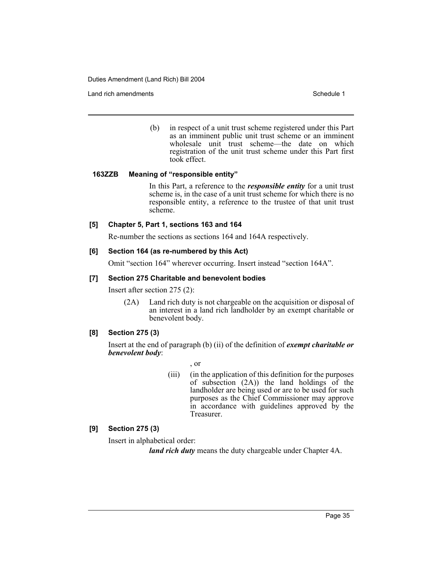Land rich amendments **Schedule 1** and the set of the set of the set of the set of the set of the set of the set of the set of the set of the set of the set of the set of the set of the set of the set of the set of the set

(b) in respect of a unit trust scheme registered under this Part as an imminent public unit trust scheme or an imminent wholesale unit trust scheme—the date on which registration of the unit trust scheme under this Part first took effect.

## **163ZZB Meaning of "responsible entity"**

In this Part, a reference to the *responsible entity* for a unit trust scheme is, in the case of a unit trust scheme for which there is no responsible entity, a reference to the trustee of that unit trust scheme.

## **[5] Chapter 5, Part 1, sections 163 and 164**

Re-number the sections as sections 164 and 164A respectively.

## **[6] Section 164 (as re-numbered by this Act)**

Omit "section 164" wherever occurring. Insert instead "section 164A".

## **[7] Section 275 Charitable and benevolent bodies**

Insert after section 275 (2):

(2A) Land rich duty is not chargeable on the acquisition or disposal of an interest in a land rich landholder by an exempt charitable or benevolent body.

## **[8] Section 275 (3)**

Insert at the end of paragraph (b) (ii) of the definition of *exempt charitable or benevolent body*:

, or

(iii) (in the application of this definition for the purposes of subsection  $(2A)$  the land holdings of the landholder are being used or are to be used for such purposes as the Chief Commissioner may approve in accordance with guidelines approved by the Treasurer.

## **[9] Section 275 (3)**

Insert in alphabetical order:

*land rich duty* means the duty chargeable under Chapter 4A.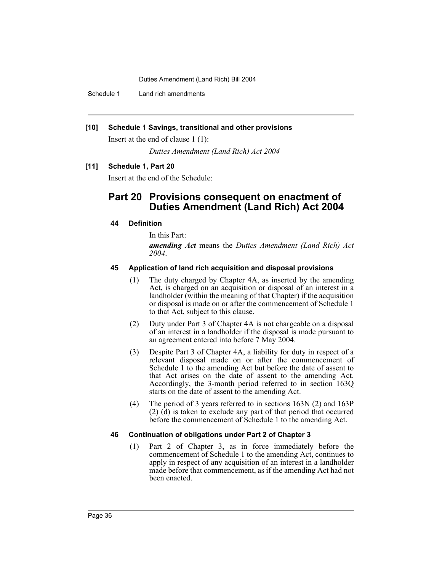Schedule 1 Land rich amendments

## **[10] Schedule 1 Savings, transitional and other provisions**

Insert at the end of clause 1 (1):

*Duties Amendment (Land Rich) Act 2004*

## **[11] Schedule 1, Part 20**

Insert at the end of the Schedule:

## **Part 20 Provisions consequent on enactment of Duties Amendment (Land Rich) Act 2004**

## **44 Definition**

In this Part:

*amending Act* means the *Duties Amendment (Land Rich) Act 2004*.

## **45 Application of land rich acquisition and disposal provisions**

- (1) The duty charged by Chapter 4A, as inserted by the amending Act, is charged on an acquisition or disposal of an interest in a landholder (within the meaning of that Chapter) if the acquisition or disposal is made on or after the commencement of Schedule 1 to that Act, subject to this clause.
- (2) Duty under Part 3 of Chapter 4A is not chargeable on a disposal of an interest in a landholder if the disposal is made pursuant to an agreement entered into before 7 May 2004.
- (3) Despite Part 3 of Chapter 4A, a liability for duty in respect of a relevant disposal made on or after the commencement of Schedule 1 to the amending Act but before the date of assent to that Act arises on the date of assent to the amending Act. Accordingly, the 3-month period referred to in section 163Q starts on the date of assent to the amending Act.
- (4) The period of 3 years referred to in sections 163N (2) and 163P (2) (d) is taken to exclude any part of that period that occurred before the commencement of Schedule 1 to the amending Act.

## **46 Continuation of obligations under Part 2 of Chapter 3**

(1) Part 2 of Chapter 3, as in force immediately before the commencement of Schedule 1 to the amending Act, continues to apply in respect of any acquisition of an interest in a landholder made before that commencement, as if the amending Act had not been enacted.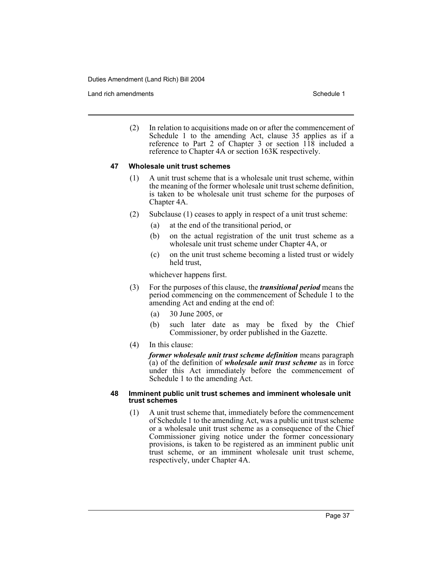Land rich amendments **Schedule 1** and the set of the set of the set of the set of the set of the set of the set of the set of the set of the set of the set of the set of the set of the set of the set of the set of the set

(2) In relation to acquisitions made on or after the commencement of Schedule 1 to the amending Act, clause 35 applies as if a reference to Part 2 of Chapter  $3$  or section  $118$  included a reference to Chapter 4A or section 163K respectively.

#### **47 Wholesale unit trust schemes**

- (1) A unit trust scheme that is a wholesale unit trust scheme, within the meaning of the former wholesale unit trust scheme definition, is taken to be wholesale unit trust scheme for the purposes of Chapter 4A.
- (2) Subclause (1) ceases to apply in respect of a unit trust scheme:
	- (a) at the end of the transitional period, or
	- (b) on the actual registration of the unit trust scheme as a wholesale unit trust scheme under Chapter 4A, or
	- (c) on the unit trust scheme becoming a listed trust or widely held trust,

whichever happens first.

- (3) For the purposes of this clause, the *transitional period* means the period commencing on the commencement of Schedule 1 to the amending Act and ending at the end of:
	- (a) 30 June 2005, or
	- (b) such later date as may be fixed by the Chief Commissioner, by order published in the Gazette.
- (4) In this clause:

*former wholesale unit trust scheme definition* means paragraph (a) of the definition of *wholesale unit trust scheme* as in force under this Act immediately before the commencement of Schedule 1 to the amending Act.

#### **48 Imminent public unit trust schemes and imminent wholesale unit trust schemes**

(1) A unit trust scheme that, immediately before the commencement of Schedule 1 to the amending Act, was a public unit trust scheme or a wholesale unit trust scheme as a consequence of the Chief Commissioner giving notice under the former concessionary provisions, is taken to be registered as an imminent public unit trust scheme, or an imminent wholesale unit trust scheme, respectively, under Chapter 4A.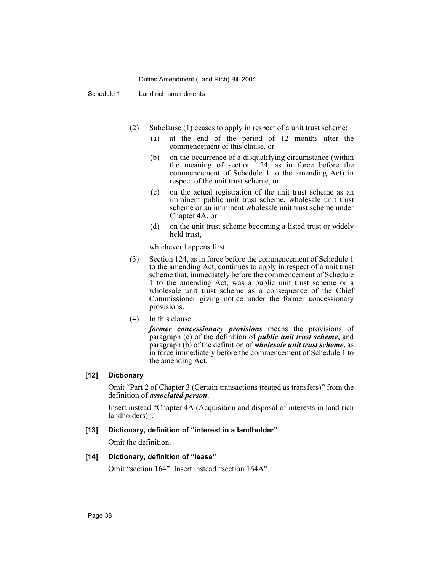## Schedule 1 Land rich amendments

- (2) Subclause (1) ceases to apply in respect of a unit trust scheme:
	- (a) at the end of the period of 12 months after the commencement of this clause, or
	- (b) on the occurrence of a disqualifying circumstance (within the meaning of section 124, as in force before the commencement of Schedule 1 to the amending Act) in respect of the unit trust scheme, or
	- (c) on the actual registration of the unit trust scheme as an imminent public unit trust scheme, wholesale unit trust scheme or an imminent wholesale unit trust scheme under Chapter 4A, or
	- (d) on the unit trust scheme becoming a listed trust or widely held trust,

whichever happens first.

- (3) Section 124, as in force before the commencement of Schedule 1 to the amending Act, continues to apply in respect of a unit trust scheme that, immediately before the commencement of Schedule 1 to the amending Act, was a public unit trust scheme or a wholesale unit trust scheme as a consequence of the Chief Commissioner giving notice under the former concessionary provisions.
- (4) In this clause:

*former concessionary provisions* means the provisions of paragraph (c) of the definition of *public unit trust scheme*, and paragraph (b) of the definition of *wholesale unit trust scheme*, as in force immediately before the commencement of Schedule 1 to the amending Act.

## **[12] Dictionary**

Omit "Part 2 of Chapter 3 (Certain transactions treated as transfers)" from the definition of *associated person*.

Insert instead "Chapter 4A (Acquisition and disposal of interests in land rich landholders)".

## **[13] Dictionary, definition of "interest in a landholder"**

Omit the definition.

## **[14] Dictionary, definition of "lease"**

Omit "section 164". Insert instead "section 164A".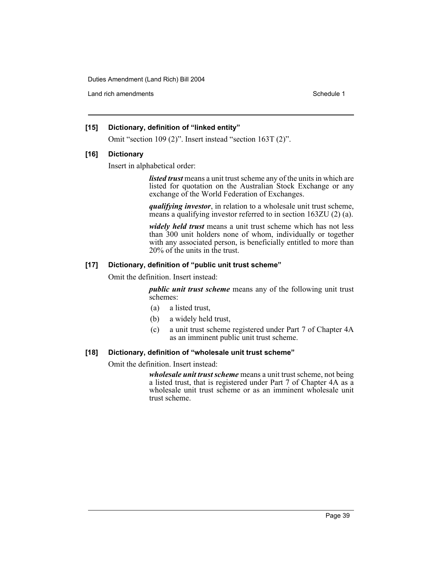Land rich amendments **Schedule 1** and the set of the set of the set of the set of the set of the set of the set of the set of the set of the set of the set of the set of the set of the set of the set of the set of the set

## **[15] Dictionary, definition of "linked entity"**

Omit "section 109 (2)". Insert instead "section 163T (2)".

## **[16] Dictionary**

Insert in alphabetical order:

*listed trust* means a unit trust scheme any of the units in which are listed for quotation on the Australian Stock Exchange or any exchange of the World Federation of Exchanges.

*qualifying investor*, in relation to a wholesale unit trust scheme, means a qualifying investor referred to in section 163ZU (2) (a).

*widely held trust* means a unit trust scheme which has not less than 300 unit holders none of whom, individually or together with any associated person, is beneficially entitled to more than 20% of the units in the trust.

## **[17] Dictionary, definition of "public unit trust scheme"**

Omit the definition. Insert instead:

*public unit trust scheme* means any of the following unit trust schemes:

- (a) a listed trust,
- (b) a widely held trust,
- (c) a unit trust scheme registered under Part 7 of Chapter 4A as an imminent public unit trust scheme.

## **[18] Dictionary, definition of "wholesale unit trust scheme"**

Omit the definition. Insert instead:

*wholesale unit trust scheme* means a unit trust scheme, not being a listed trust, that is registered under Part 7 of Chapter 4A as a wholesale unit trust scheme or as an imminent wholesale unit trust scheme.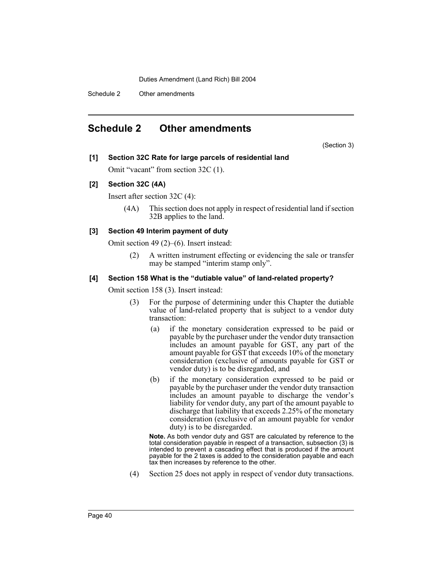Schedule 2 Other amendments

## **Schedule 2 Other amendments**

(Section 3)

## **[1] Section 32C Rate for large parcels of residential land**

Omit "vacant" from section 32C (1).

## **[2] Section 32C (4A)**

Insert after section 32C (4):

(4A) This section does not apply in respect of residential land if section 32B applies to the land.

## **[3] Section 49 Interim payment of duty**

Omit section 49 (2)–(6). Insert instead:

(2) A written instrument effecting or evidencing the sale or transfer may be stamped "interim stamp only".

## **[4] Section 158 What is the "dutiable value" of land-related property?**

Omit section 158 (3). Insert instead:

- (3) For the purpose of determining under this Chapter the dutiable value of land-related property that is subject to a vendor duty transaction:
	- (a) if the monetary consideration expressed to be paid or payable by the purchaser under the vendor duty transaction includes an amount payable for GST, any part of the amount payable for GST that exceeds 10% of the monetary consideration (exclusive of amounts payable for GST or vendor duty) is to be disregarded, and
	- (b) if the monetary consideration expressed to be paid or payable by the purchaser under the vendor duty transaction includes an amount payable to discharge the vendor's liability for vendor duty, any part of the amount payable to discharge that liability that exceeds 2.25% of the monetary consideration (exclusive of an amount payable for vendor duty) is to be disregarded.

**Note.** As both vendor duty and GST are calculated by reference to the total consideration payable in respect of a transaction, subsection (3) is intended to prevent a cascading effect that is produced if the amount payable for the 2 taxes is added to the consideration payable and each tax then increases by reference to the other.

(4) Section 25 does not apply in respect of vendor duty transactions.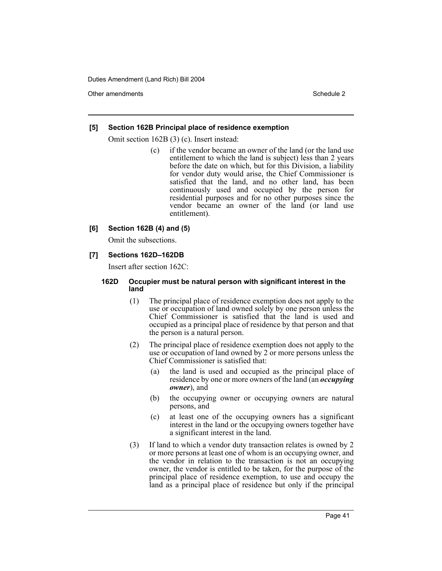Other amendments **Schedule 2** and 3 and 3 and 3 and 3 and 3 and 3 and 3 and 3 and 3 and 3 and 3 and 3 and 3 and 3 and 3 and 3 and 3 and 3 and 3 and 3 and 3 and 3 and 3 and 3 and 3 and 3 and 3 and 3 and 3 and 3 and 3 and 3

## **[5] Section 162B Principal place of residence exemption**

Omit section 162B (3) (c). Insert instead:

(c) if the vendor became an owner of the land (or the land use entitlement to which the land is subject) less than 2 years before the date on which, but for this Division, a liability for vendor duty would arise, the Chief Commissioner is satisfied that the land, and no other land, has been continuously used and occupied by the person for residential purposes and for no other purposes since the vendor became an owner of the land (or land use entitlement).

## **[6] Section 162B (4) and (5)**

Omit the subsections.

## **[7] Sections 162D–162DB**

Insert after section 162C:

## **162D Occupier must be natural person with significant interest in the land**

- (1) The principal place of residence exemption does not apply to the use or occupation of land owned solely by one person unless the Chief Commissioner is satisfied that the land is used and occupied as a principal place of residence by that person and that the person is a natural person.
- (2) The principal place of residence exemption does not apply to the use or occupation of land owned by 2 or more persons unless the Chief Commissioner is satisfied that:
	- (a) the land is used and occupied as the principal place of residence by one or more owners of the land (an *occupying owner*), and
	- (b) the occupying owner or occupying owners are natural persons, and
	- (c) at least one of the occupying owners has a significant interest in the land or the occupying owners together have a significant interest in the land.
- (3) If land to which a vendor duty transaction relates is owned by 2 or more persons at least one of whom is an occupying owner, and the vendor in relation to the transaction is not an occupying owner, the vendor is entitled to be taken, for the purpose of the principal place of residence exemption, to use and occupy the land as a principal place of residence but only if the principal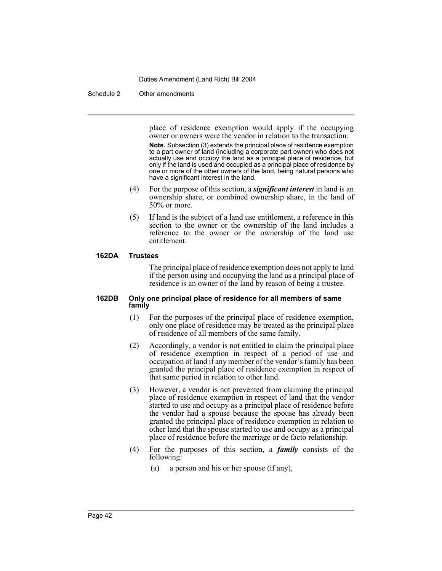#### Schedule 2 Other amendments

place of residence exemption would apply if the occupying owner or owners were the vendor in relation to the transaction.

**Note.** Subsection (3) extends the principal place of residence exemption to a part owner of land (including a corporate part owner) who does not actually use and occupy the land as a principal place of residence, but only if the land is used and occupied as a principal place of residence by one or more of the other owners of the land, being natural persons who have a significant interest in the land.

- (4) For the purpose of this section, a *significant interest* in land is an ownership share, or combined ownership share, in the land of 50% or more.
- (5) If land is the subject of a land use entitlement, a reference in this section to the owner or the ownership of the land includes a reference to the owner or the ownership of the land use entitlement.

#### **162DA Trustees**

The principal place of residence exemption does not apply to land if the person using and occupying the land as a principal place of residence is an owner of the land by reason of being a trustee.

#### **162DB Only one principal place of residence for all members of same family**

- (1) For the purposes of the principal place of residence exemption, only one place of residence may be treated as the principal place of residence of all members of the same family.
- (2) Accordingly, a vendor is not entitled to claim the principal place of residence exemption in respect of a period of use and occupation of land if any member of the vendor's family has been granted the principal place of residence exemption in respect of that same period in relation to other land.
- (3) However, a vendor is not prevented from claiming the principal place of residence exemption in respect of land that the vendor started to use and occupy as a principal place of residence before the vendor had a spouse because the spouse has already been granted the principal place of residence exemption in relation to other land that the spouse started to use and occupy as a principal place of residence before the marriage or de facto relationship.
- (4) For the purposes of this section, a *family* consists of the following:
	- (a) a person and his or her spouse (if any),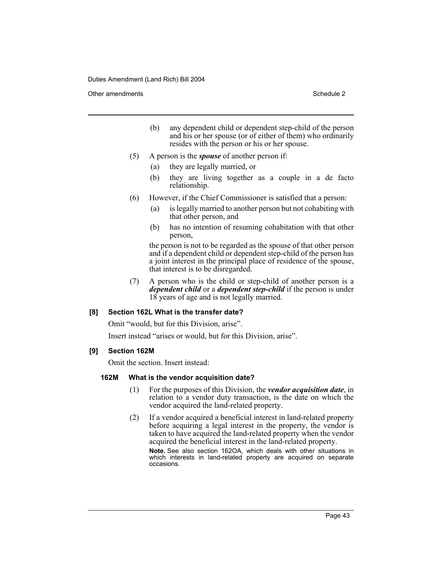Other amendments **Schedule 2** and 3 and 3 and 3 and 3 and 3 and 3 and 3 and 3 and 3 and 3 and 3 and 3 and 3 and 3 and 3 and 3 and 3 and 3 and 3 and 3 and 3 and 3 and 3 and 3 and 3 and 3 and 3 and 3 and 3 and 3 and 3 and 3

- (b) any dependent child or dependent step-child of the person and his or her spouse (or of either of them) who ordinarily resides with the person or his or her spouse.
- (5) A person is the *spouse* of another person if:
	- (a) they are legally married, or
	- (b) they are living together as a couple in a de facto relationship.
- (6) However, if the Chief Commissioner is satisfied that a person:
	- (a) is legally married to another person but not cohabiting with that other person, and
	- (b) has no intention of resuming cohabitation with that other person,

the person is not to be regarded as the spouse of that other person and if a dependent child or dependent step-child of the person has a joint interest in the principal place of residence of the spouse, that interest is to be disregarded.

(7) A person who is the child or step-child of another person is a *dependent child* or a *dependent step-child* if the person is under 18 years of age and is not legally married.

## **[8] Section 162L What is the transfer date?**

Omit "would, but for this Division, arise".

Insert instead "arises or would, but for this Division, arise".

## **[9] Section 162M**

Omit the section. Insert instead:

## **162M What is the vendor acquisition date?**

- (1) For the purposes of this Division, the *vendor acquisition date*, in relation to a vendor duty transaction, is the date on which the vendor acquired the land-related property.
- (2) If a vendor acquired a beneficial interest in land-related property before acquiring a legal interest in the property, the vendor is taken to have acquired the land-related property when the vendor acquired the beneficial interest in the land-related property.

**Note.** See also section 162OA, which deals with other situations in which interests in land-related property are acquired on separate occasions.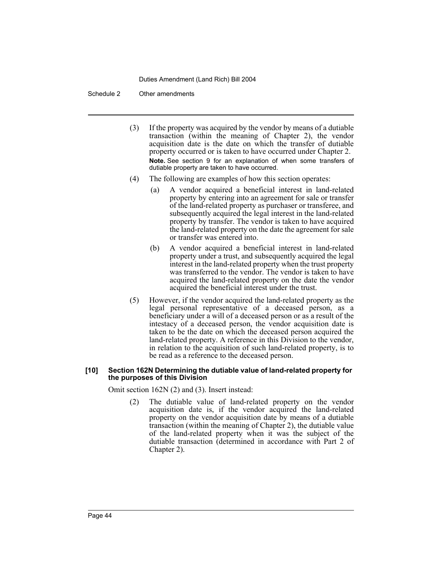#### Schedule 2 Other amendments

- (3) If the property was acquired by the vendor by means of a dutiable transaction (within the meaning of Chapter 2), the vendor acquisition date is the date on which the transfer of dutiable property occurred or is taken to have occurred under Chapter 2. **Note.** See section 9 for an explanation of when some transfers of dutiable property are taken to have occurred.
- (4) The following are examples of how this section operates:
	- (a) A vendor acquired a beneficial interest in land-related property by entering into an agreement for sale or transfer of the land-related property as purchaser or transferee, and subsequently acquired the legal interest in the land-related property by transfer. The vendor is taken to have acquired the land-related property on the date the agreement for sale or transfer was entered into.
	- (b) A vendor acquired a beneficial interest in land-related property under a trust, and subsequently acquired the legal interest in the land-related property when the trust property was transferred to the vendor. The vendor is taken to have acquired the land-related property on the date the vendor acquired the beneficial interest under the trust.
- (5) However, if the vendor acquired the land-related property as the legal personal representative of a deceased person, as a beneficiary under a will of a deceased person or as a result of the intestacy of a deceased person, the vendor acquisition date is taken to be the date on which the deceased person acquired the land-related property. A reference in this Division to the vendor, in relation to the acquisition of such land-related property, is to be read as a reference to the deceased person.

#### **[10] Section 162N Determining the dutiable value of land-related property for the purposes of this Division**

Omit section 162N (2) and (3). Insert instead:

(2) The dutiable value of land-related property on the vendor acquisition date is, if the vendor acquired the land-related property on the vendor acquisition date by means of a dutiable transaction (within the meaning of Chapter 2), the dutiable value of the land-related property when it was the subject of the dutiable transaction (determined in accordance with Part 2 of Chapter 2).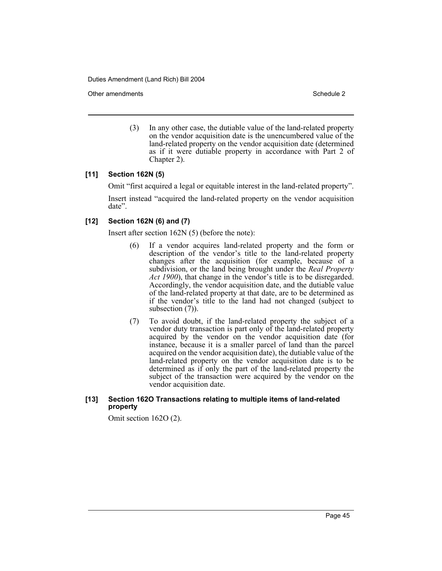Other amendments **Schedule 2** and 3 and 3 and 3 and 3 and 3 and 3 and 3 and 3 and 3 and 3 and 3 and 3 and 3 and 3 and 3 and 3 and 3 and 3 and 3 and 3 and 3 and 3 and 3 and 3 and 3 and 3 and 3 and 3 and 3 and 3 and 3 and 3

(3) In any other case, the dutiable value of the land-related property on the vendor acquisition date is the unencumbered value of the land-related property on the vendor acquisition date (determined as if it were dutiable property in accordance with Part 2 of Chapter 2).

## **[11] Section 162N (5)**

Omit "first acquired a legal or equitable interest in the land-related property".

Insert instead "acquired the land-related property on the vendor acquisition date".

## **[12] Section 162N (6) and (7)**

Insert after section 162N (5) (before the note):

- (6) If a vendor acquires land-related property and the form or description of the vendor's title to the land-related property changes after the acquisition (for example, because of a subdivision, or the land being brought under the *Real Property Act 1900*), that change in the vendor's title is to be disregarded. Accordingly, the vendor acquisition date, and the dutiable value of the land-related property at that date, are to be determined as if the vendor's title to the land had not changed (subject to subsection  $(7)$ ).
- (7) To avoid doubt, if the land-related property the subject of a vendor duty transaction is part only of the land-related property acquired by the vendor on the vendor acquisition date (for instance, because it is a smaller parcel of land than the parcel acquired on the vendor acquisition date), the dutiable value of the land-related property on the vendor acquisition date is to be determined as if only the part of the land-related property the subject of the transaction were acquired by the vendor on the vendor acquisition date.

#### **[13] Section 162O Transactions relating to multiple items of land-related property**

Omit section 162O (2).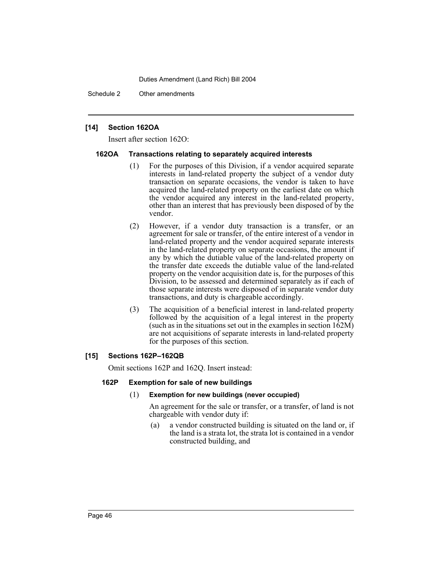Schedule 2 Other amendments

## **[14] Section 162OA**

Insert after section 162O:

## **162OA Transactions relating to separately acquired interests**

- (1) For the purposes of this Division, if a vendor acquired separate interests in land-related property the subject of a vendor duty transaction on separate occasions, the vendor is taken to have acquired the land-related property on the earliest date on which the vendor acquired any interest in the land-related property, other than an interest that has previously been disposed of by the vendor.
- (2) However, if a vendor duty transaction is a transfer, or an agreement for sale or transfer, of the entire interest of a vendor in land-related property and the vendor acquired separate interests in the land-related property on separate occasions, the amount if any by which the dutiable value of the land-related property on the transfer date exceeds the dutiable value of the land-related property on the vendor acquisition date is, for the purposes of this Division, to be assessed and determined separately as if each of those separate interests were disposed of in separate vendor duty transactions, and duty is chargeable accordingly.
- (3) The acquisition of a beneficial interest in land-related property followed by the acquisition of a legal interest in the property (such as in the situations set out in the examples in section 162M) are not acquisitions of separate interests in land-related property for the purposes of this section.

## **[15] Sections 162P–162QB**

Omit sections 162P and 162Q. Insert instead:

## **162P Exemption for sale of new buildings**

## (1) **Exemption for new buildings (never occupied)**

An agreement for the sale or transfer, or a transfer, of land is not chargeable with vendor duty if:

(a) a vendor constructed building is situated on the land or, if the land is a strata lot, the strata lot is contained in a vendor constructed building, and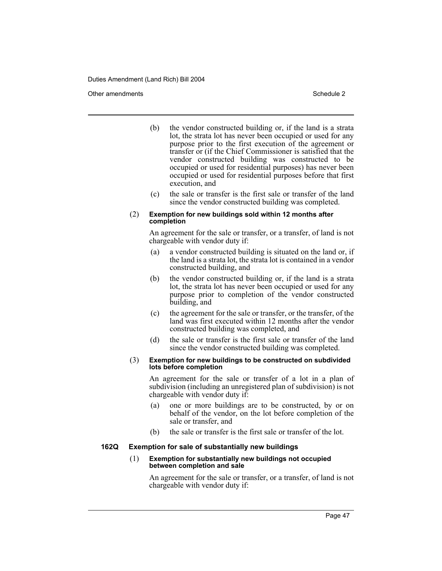Other amendments **Schedule 2** and 3 and 3 and 3 and 3 and 3 and 3 and 3 and 3 and 3 and 3 and 3 and 3 and 3 and 3 and 3 and 3 and 3 and 3 and 3 and 3 and 3 and 3 and 3 and 3 and 3 and 3 and 3 and 3 and 3 and 3 and 3 and 3

- (b) the vendor constructed building or, if the land is a strata lot, the strata lot has never been occupied or used for any purpose prior to the first execution of the agreement or transfer or (if the Chief Commissioner is satisfied that the vendor constructed building was constructed to be occupied or used for residential purposes) has never been occupied or used for residential purposes before that first execution, and
- (c) the sale or transfer is the first sale or transfer of the land since the vendor constructed building was completed.

#### (2) **Exemption for new buildings sold within 12 months after completion**

An agreement for the sale or transfer, or a transfer, of land is not chargeable with vendor duty if:

- (a) a vendor constructed building is situated on the land or, if the land is a strata lot, the strata lot is contained in a vendor constructed building, and
- (b) the vendor constructed building or, if the land is a strata lot, the strata lot has never been occupied or used for any purpose prior to completion of the vendor constructed building, and
- (c) the agreement for the sale or transfer, or the transfer, of the land was first executed within 12 months after the vendor constructed building was completed, and
- (d) the sale or transfer is the first sale or transfer of the land since the vendor constructed building was completed.
- (3) **Exemption for new buildings to be constructed on subdivided lots before completion**

An agreement for the sale or transfer of a lot in a plan of subdivision (including an unregistered plan of subdivision) is not chargeable with vendor duty if:

- (a) one or more buildings are to be constructed, by or on behalf of the vendor, on the lot before completion of the sale or transfer, and
- (b) the sale or transfer is the first sale or transfer of the lot.

## **162Q Exemption for sale of substantially new buildings**

#### (1) **Exemption for substantially new buildings not occupied between completion and sale**

An agreement for the sale or transfer, or a transfer, of land is not chargeable with vendor duty if: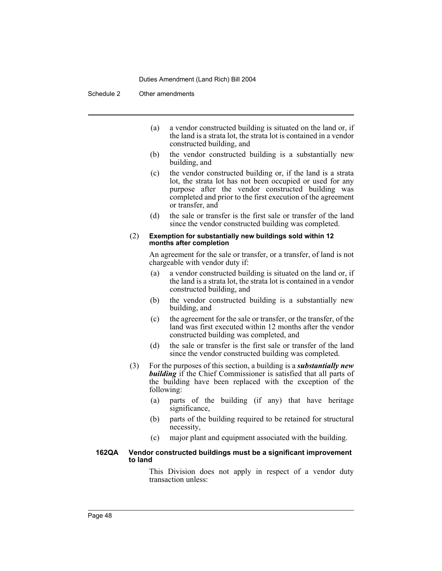Schedule 2 Other amendments

- (a) a vendor constructed building is situated on the land or, if the land is a strata lot, the strata lot is contained in a vendor constructed building, and
- (b) the vendor constructed building is a substantially new building, and
- (c) the vendor constructed building or, if the land is a strata lot, the strata lot has not been occupied or used for any purpose after the vendor constructed building was completed and prior to the first execution of the agreement or transfer, and
- (d) the sale or transfer is the first sale or transfer of the land since the vendor constructed building was completed.

#### (2) **Exemption for substantially new buildings sold within 12 months after completion**

An agreement for the sale or transfer, or a transfer, of land is not chargeable with vendor duty if:

- (a) a vendor constructed building is situated on the land or, if the land is a strata lot, the strata lot is contained in a vendor constructed building, and
- (b) the vendor constructed building is a substantially new building, and
- (c) the agreement for the sale or transfer, or the transfer, of the land was first executed within 12 months after the vendor constructed building was completed, and
- (d) the sale or transfer is the first sale or transfer of the land since the vendor constructed building was completed.
- (3) For the purposes of this section, a building is a *substantially new* **building** if the Chief Commissioner is satisfied that all parts of the building have been replaced with the exception of the following:
	- (a) parts of the building (if any) that have heritage significance,
	- (b) parts of the building required to be retained for structural necessity,
	- (c) major plant and equipment associated with the building.

#### **162QA Vendor constructed buildings must be a significant improvement to land**

This Division does not apply in respect of a vendor duty transaction unless: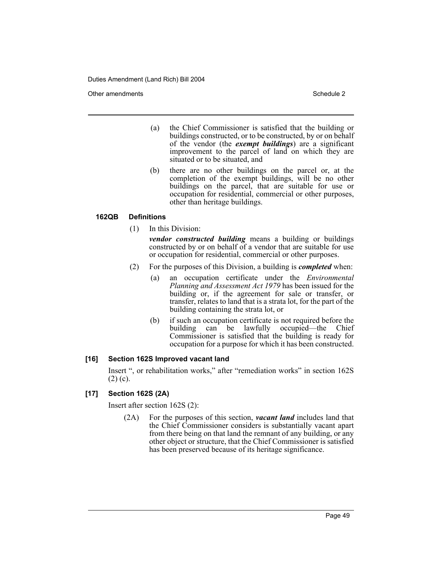Other amendments **Schedule 2** and 3 and 3 and 3 and 3 and 3 and 3 and 3 and 3 and 3 and 3 and 3 and 3 and 3 and 3 and 3 and 3 and 3 and 3 and 3 and 3 and 3 and 3 and 3 and 3 and 3 and 3 and 3 and 3 and 3 and 3 and 3 and 3

- (a) the Chief Commissioner is satisfied that the building or buildings constructed, or to be constructed, by or on behalf of the vendor (the *exempt buildings*) are a significant improvement to the parcel of land on which they are situated or to be situated, and
- (b) there are no other buildings on the parcel or, at the completion of the exempt buildings, will be no other buildings on the parcel, that are suitable for use or occupation for residential, commercial or other purposes, other than heritage buildings.

## **162QB Definitions**

(1) In this Division:

*vendor constructed building* means a building or buildings constructed by or on behalf of a vendor that are suitable for use or occupation for residential, commercial or other purposes.

- (2) For the purposes of this Division, a building is *completed* when:
	- (a) an occupation certificate under the *Environmental Planning and Assessment Act 1979* has been issued for the building or, if the agreement for sale or transfer, or transfer, relates to land that is a strata lot, for the part of the building containing the strata lot, or
	- (b) if such an occupation certificate is not required before the building can be lawfully occupied—the Chief Commissioner is satisfied that the building is ready for occupation for a purpose for which it has been constructed.

## **[16] Section 162S Improved vacant land**

Insert ", or rehabilitation works," after "remediation works" in section 162S  $(2)$  (c).

## **[17] Section 162S (2A)**

Insert after section 162S (2):

(2A) For the purposes of this section, *vacant land* includes land that the Chief Commissioner considers is substantially vacant apart from there being on that land the remnant of any building, or any other object or structure, that the Chief Commissioner is satisfied has been preserved because of its heritage significance.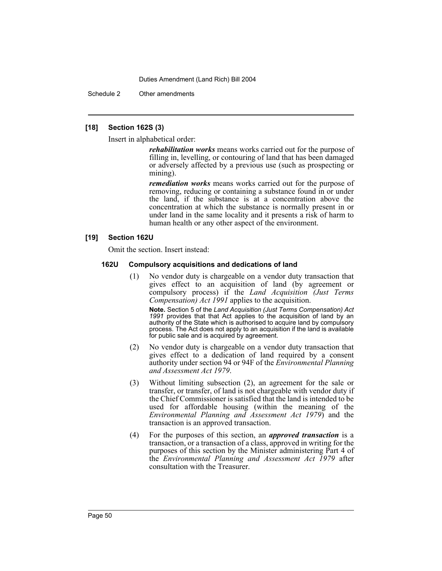Schedule 2 Other amendments

## **[18] Section 162S (3)**

Insert in alphabetical order:

*rehabilitation works* means works carried out for the purpose of filling in, levelling, or contouring of land that has been damaged or adversely affected by a previous use (such as prospecting or mining).

*remediation works* means works carried out for the purpose of removing, reducing or containing a substance found in or under the land, if the substance is at a concentration above the concentration at which the substance is normally present in or under land in the same locality and it presents a risk of harm to human health or any other aspect of the environment.

## **[19] Section 162U**

Omit the section. Insert instead:

#### **162U Compulsory acquisitions and dedications of land**

(1) No vendor duty is chargeable on a vendor duty transaction that gives effect to an acquisition of land (by agreement or compulsory process) if the *Land Acquisition (Just Terms Compensation) Act 1991* applies to the acquisition.

**Note.** Section 5 of the *Land Acquisition (Just Terms Compensation) Act 1991* provides that that Act applies to the acquisition of land by an authority of the State which is authorised to acquire land by compulsory process. The Act does not apply to an acquisition if the land is available for public sale and is acquired by agreement.

- (2) No vendor duty is chargeable on a vendor duty transaction that gives effect to a dedication of land required by a consent authority under section 94 or 94F of the *Environmental Planning and Assessment Act 1979*.
- (3) Without limiting subsection (2), an agreement for the sale or transfer, or transfer, of land is not chargeable with vendor duty if the Chief Commissioner is satisfied that the land is intended to be used for affordable housing (within the meaning of the *Environmental Planning and Assessment Act 1979*) and the transaction is an approved transaction.
- (4) For the purposes of this section, an *approved transaction* is a transaction, or a transaction of a class, approved in writing for the purposes of this section by the Minister administering Part 4 of the *Environmental Planning and Assessment Act 1979* after consultation with the Treasurer.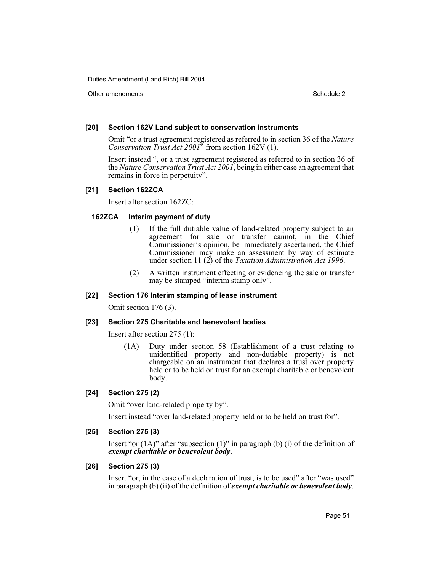Other amendments **Schedule 2** and 3 and 3 and 3 and 3 and 3 and 3 and 3 and 3 and 3 and 3 and 3 and 3 and 3 and 3 and 3 and 3 and 3 and 3 and 3 and 3 and 3 and 3 and 3 and 3 and 3 and 3 and 3 and 3 and 3 and 3 and 3 and 3

## **[20] Section 162V Land subject to conservation instruments**

Omit "or a trust agreement registered as referred to in section 36 of the *Nature Conservation Trust Act 2001*" from section 162V (1).

Insert instead ", or a trust agreement registered as referred to in section 36 of the *Nature Conservation Trust Act 2001*, being in either case an agreement that remains in force in perpetuity".

## **[21] Section 162ZCA**

Insert after section 162ZC:

## **162ZCA Interim payment of duty**

- (1) If the full dutiable value of land-related property subject to an agreement for sale or transfer cannot, in the Chief Commissioner's opinion, be immediately ascertained, the Chief Commissioner may make an assessment by way of estimate under section 11 (2) of the *Taxation Administration Act 1996*.
- (2) A written instrument effecting or evidencing the sale or transfer may be stamped "interim stamp only".

## **[22] Section 176 Interim stamping of lease instrument**

Omit section 176 (3).

## **[23] Section 275 Charitable and benevolent bodies**

Insert after section 275 (1):

(1A) Duty under section 58 (Establishment of a trust relating to unidentified property and non-dutiable property) is not chargeable on an instrument that declares a trust over property held or to be held on trust for an exempt charitable or benevolent body.

## **[24] Section 275 (2)**

Omit "over land-related property by".

Insert instead "over land-related property held or to be held on trust for".

## **[25] Section 275 (3)**

Insert "or  $(1A)$ " after "subsection  $(1)$ " in paragraph  $(b)$   $(i)$  of the definition of *exempt charitable or benevolent body*.

## **[26] Section 275 (3)**

Insert "or, in the case of a declaration of trust, is to be used" after "was used" in paragraph (b) (ii) of the definition of *exempt charitable or benevolent body*.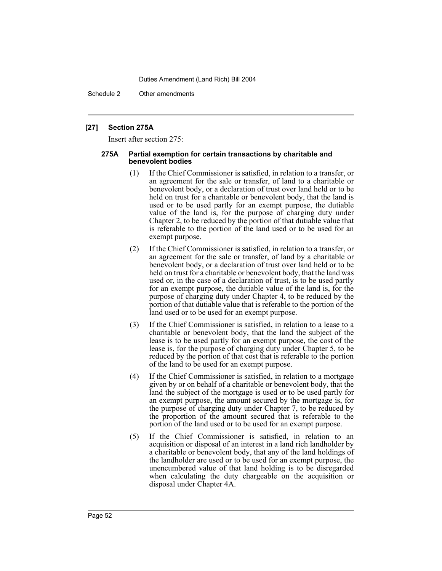Schedule 2 Other amendments

#### **[27] Section 275A**

Insert after section 275:

#### **275A Partial exemption for certain transactions by charitable and benevolent bodies**

- (1) If the Chief Commissioner is satisfied, in relation to a transfer, or an agreement for the sale or transfer, of land to a charitable or benevolent body, or a declaration of trust over land held or to be held on trust for a charitable or benevolent body, that the land is used or to be used partly for an exempt purpose, the dutiable value of the land is, for the purpose of charging duty under Chapter 2, to be reduced by the portion of that dutiable value that is referable to the portion of the land used or to be used for an exempt purpose.
- (2) If the Chief Commissioner is satisfied, in relation to a transfer, or an agreement for the sale or transfer, of land by a charitable or benevolent body, or a declaration of trust over land held or to be held on trust for a charitable or benevolent body, that the land was used or, in the case of a declaration of trust, is to be used partly for an exempt purpose, the dutiable value of the land is, for the purpose of charging duty under Chapter 4, to be reduced by the portion of that dutiable value that is referable to the portion of the land used or to be used for an exempt purpose.
- (3) If the Chief Commissioner is satisfied, in relation to a lease to a charitable or benevolent body, that the land the subject of the lease is to be used partly for an exempt purpose, the cost of the lease is, for the purpose of charging duty under Chapter 5, to be reduced by the portion of that cost that is referable to the portion of the land to be used for an exempt purpose.
- (4) If the Chief Commissioner is satisfied, in relation to a mortgage given by or on behalf of a charitable or benevolent body, that the land the subject of the mortgage is used or to be used partly for an exempt purpose, the amount secured by the mortgage is, for the purpose of charging duty under Chapter 7, to be reduced by the proportion of the amount secured that is referable to the portion of the land used or to be used for an exempt purpose.
- (5) If the Chief Commissioner is satisfied, in relation to an acquisition or disposal of an interest in a land rich landholder by a charitable or benevolent body, that any of the land holdings of the landholder are used or to be used for an exempt purpose, the unencumbered value of that land holding is to be disregarded when calculating the duty chargeable on the acquisition or disposal under Chapter 4A.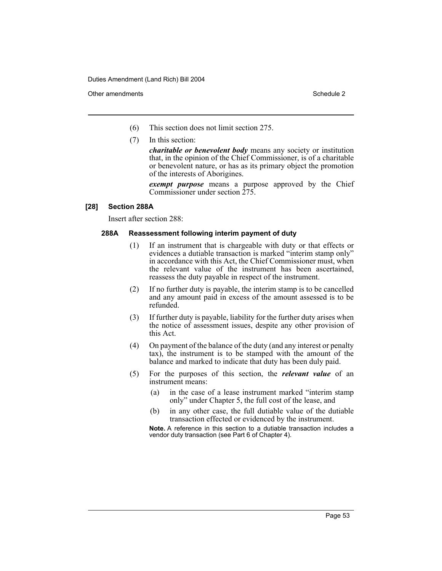Other amendments **Schedule 2** and 2 and 2 and 2 and 2 and 2 and 2 and 2 and 2 and 2 and 2 and 2 and 2 and 2 and 2 and 2 and 2 and 2 and 2 and 2 and 2 and 2 and 2 and 2 and 2 and 2 and 2 and 2 and 2 and 2 and 2 and 2 and 2

- (6) This section does not limit section 275.
- (7) In this section:

*charitable or benevolent body* means any society or institution that, in the opinion of the Chief Commissioner, is of a charitable or benevolent nature, or has as its primary object the promotion of the interests of Aborigines.

*exempt purpose* means a purpose approved by the Chief Commissioner under section 275.

## **[28] Section 288A**

Insert after section 288:

## **288A Reassessment following interim payment of duty**

- (1) If an instrument that is chargeable with duty or that effects or evidences a dutiable transaction is marked "interim stamp only" in accordance with this Act, the Chief Commissioner must, when the relevant value of the instrument has been ascertained, reassess the duty payable in respect of the instrument.
- (2) If no further duty is payable, the interim stamp is to be cancelled and any amount paid in excess of the amount assessed is to be refunded.
- (3) If further duty is payable, liability for the further duty arises when the notice of assessment issues, despite any other provision of this Act.
- (4) On payment of the balance of the duty (and any interest or penalty tax), the instrument is to be stamped with the amount of the balance and marked to indicate that duty has been duly paid.
- (5) For the purposes of this section, the *relevant value* of an instrument means:
	- (a) in the case of a lease instrument marked "interim stamp only" under Chapter 5, the full cost of the lease, and
	- (b) in any other case, the full dutiable value of the dutiable transaction effected or evidenced by the instrument.

**Note.** A reference in this section to a dutiable transaction includes a vendor duty transaction (see Part 6 of Chapter 4).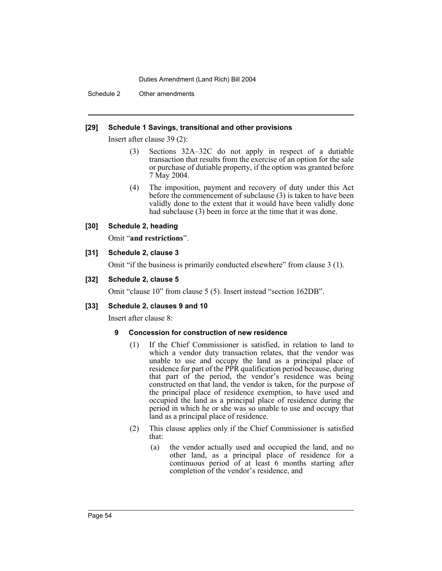Schedule 2 Other amendments

## **[29] Schedule 1 Savings, transitional and other provisions**

Insert after clause 39 (2):

- (3) Sections 32A–32C do not apply in respect of a dutiable transaction that results from the exercise of an option for the sale or purchase of dutiable property, if the option was granted before 7 May 2004.
- (4) The imposition, payment and recovery of duty under this Act before the commencement of subclause (3) is taken to have been validly done to the extent that it would have been validly done had subclause (3) been in force at the time that it was done.

## **[30] Schedule 2, heading**

Omit "**and restrictions**".

## **[31] Schedule 2, clause 3**

Omit "if the business is primarily conducted elsewhere" from clause 3 (1).

## **[32] Schedule 2, clause 5**

Omit "clause 10" from clause 5 (5). Insert instead "section 162DB".

## **[33] Schedule 2, clauses 9 and 10**

Insert after clause 8:

## **9 Concession for construction of new residence**

- (1) If the Chief Commissioner is satisfied, in relation to land to which a vendor duty transaction relates, that the vendor was unable to use and occupy the land as a principal place of residence for part of the PPR qualification period because, during that part of the period, the vendor's residence was being constructed on that land, the vendor is taken, for the purpose of the principal place of residence exemption, to have used and occupied the land as a principal place of residence during the period in which he or she was so unable to use and occupy that land as a principal place of residence.
- (2) This clause applies only if the Chief Commissioner is satisfied that:
	- (a) the vendor actually used and occupied the land, and no other land, as a principal place of residence for a continuous period of at least 6 months starting after completion of the vendor's residence, and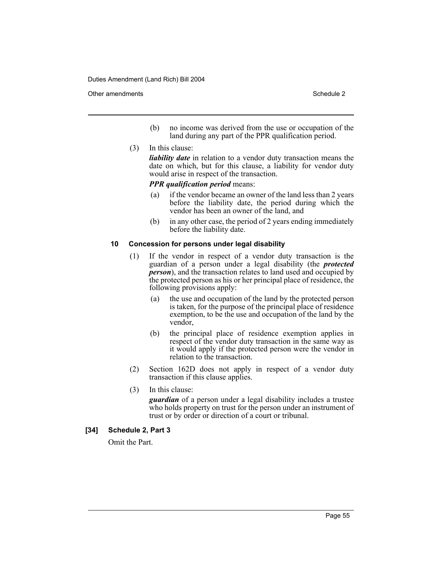Other amendments **Schedule 2** and 3 and 3 and 3 and 3 and 3 and 3 and 3 and 3 and 3 and 3 and 3 and 3 and 3 and 3 and 3 and 3 and 3 and 3 and 3 and 3 and 3 and 3 and 3 and 3 and 3 and 3 and 3 and 3 and 3 and 3 and 3 and 3

- (b) no income was derived from the use or occupation of the land during any part of the PPR qualification period.
- (3) In this clause:

*liability date* in relation to a vendor duty transaction means the date on which, but for this clause, a liability for vendor duty would arise in respect of the transaction.

*PPR qualification period* means:

- (a) if the vendor became an owner of the land less than 2 years before the liability date, the period during which the vendor has been an owner of the land, and
- (b) in any other case, the period of 2 years ending immediately before the liability date.

## **10 Concession for persons under legal disability**

- (1) If the vendor in respect of a vendor duty transaction is the guardian of a person under a legal disability (the *protected person*), and the transaction relates to land used and occupied by the protected person as his or her principal place of residence, the following provisions apply:
	- (a) the use and occupation of the land by the protected person is taken, for the purpose of the principal place of residence exemption, to be the use and occupation of the land by the vendor,
	- (b) the principal place of residence exemption applies in respect of the vendor duty transaction in the same way as it would apply if the protected person were the vendor in relation to the transaction.
- (2) Section 162D does not apply in respect of a vendor duty transaction if this clause applies.
- (3) In this clause:

*guardian* of a person under a legal disability includes a trustee who holds property on trust for the person under an instrument of trust or by order or direction of a court or tribunal.

## **[34] Schedule 2, Part 3**

Omit the Part.